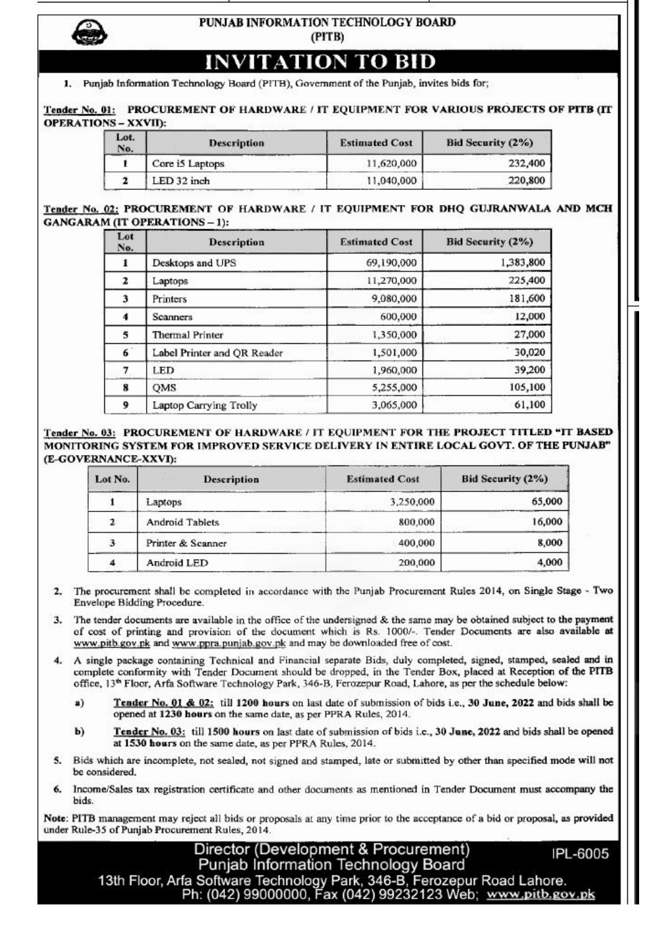PUNJAB INFORMATION TECHNOLOGY BOARD

(PITB)

VVITATION TO BID

1. Punjab Information Technology Board (PITB), Government of the Punjab, invites bids for;

#### Tender No. 01: PROCUREMENT OF HARDWARE / IT EQUIPMENT FOR VARIOUS PROJECTS OF PITB (IT **OPERATIONS - XXVIII:**

| Lot.<br>No. | <b>Description</b> | <b>Estimated Cost</b> | Bid Security (2%) |  |
|-------------|--------------------|-----------------------|-------------------|--|
|             | Core is Laptops    | 11,620,000            | 232,400           |  |
|             | LED 32 inch        | 11,040,000            | 220,800           |  |

#### Tender No. 02: PROCUREMENT OF HARDWARE / IT EQUIPMENT FOR DHQ GUJRANWALA AND MCH **GANGARAM (IT OPERATIONS - 1):**

| Lot<br>No.  | <b>Description</b>          | <b>Estimated Cost</b> | Bid Security (2%) |
|-------------|-----------------------------|-----------------------|-------------------|
|             | Desktops and UPS            | 69,190,000            | 1,383,800         |
| 2           | Laptops                     | 11,270,000            | 225,400           |
| 3           | Printers                    | 9,080,000             | 181,600           |
| 4           | <b>Scanners</b>             | 600,000               | 12,000            |
| 5           | <b>Thermal Printer</b>      | 1,350,000             | 27,000            |
| $6^{\circ}$ | Label Printer and QR Reader | 1,501,000             | 30,020            |
| 7           | LED                         | 1,960,000             | 39,200            |
| 8           | QMS                         | 5,255,000             | 105,100           |
| 9           | Laptop Carrying Trolly      | 3,065,000             | 61,100            |

#### Tender No. 03: PROCUREMENT OF HARDWARE / IT EQUIPMENT FOR THE PROJECT TITLED "IT BASED MONITORING SYSTEM FOR IMPROVED SERVICE DELIVERY IN ENTIRE LOCAL GOVT. OF THE PUNJAB" (E-GOVERNANCE-XXVI):

| Lot No.                             | Description                                      | <b>Estimated Cost</b> | Bid Security (2%) |  |
|-------------------------------------|--------------------------------------------------|-----------------------|-------------------|--|
| <b>Contract Advised Association</b> | <b><i><u>BAR - A LINA BAR</u></i></b><br>Laptops | 3,250,000             | 65,000            |  |
| 2                                   | <b>Android Tablets</b>                           | 800,000               | 16,000            |  |
| 3                                   | Printer & Scanner                                | 400,000               | 8,000             |  |
| 4                                   | Android LED                                      | 200,000               | 4,000             |  |

- The procurement shall be completed in accordance with the Punjab Procurement Rules 2014, on Single Stage Two  $2.$ **Envelope Bidding Procedure.**
- 3. The tender documents are available in the office of the undersigned & the same may be obtained subject to the payment of cost of printing and provision of the document which is Rs. 1000/-. Tender Documents are also available at www.pitb.gov.pk and www.ppra.punjab.gov.pk and may be downloaded free of cost.
- A single package containing Technical and Financial separate Bids, duly completed, signed, stamped, sealed and in 4. complete conformity with Tender Document should be dropped, in the Tender Box, placed at Reception of the PITB office, 13<sup>th</sup> Floor, Arfa Software Technology Park, 346-B, Ferozepur Road, Lahore, as per the schedule below:
	- Tender No. 01 & 02: till 1200 hours on last date of submission of bids i.e., 30 June, 2022 and bids shall be a) opened at 1230 hours on the same date, as per PPRA Rules, 2014.
	- Tender No. 03: till 1500 hours on last date of submission of bids i.e., 30 June, 2022 and bids shall be opened  $$ at 1530 hours on the same date, as per PPRA Rules, 2014.
- Bids which are incomplete, not sealed, not signed and stamped, late or submitted by other than specified mode will not be considered.
- 6. Income/Sales tax registration certificate and other documents as mentioned in Tender Document must accompany the hids.

Note: PITB management may reject all bids or proposals at any time prior to the acceptance of a bid or proposal, as provided under Rule-35 of Punjab Procurement Rules, 2014.

Director (Development & Procurement) IPL-6005 Punjab Information Technology Board 13th Floor, Arfa Software Technology Park, 346-B, Ferozepur Road Lahore. Ph: (042) 99000000, Fax (042) 99232123 Web; www.pitb.gov.pk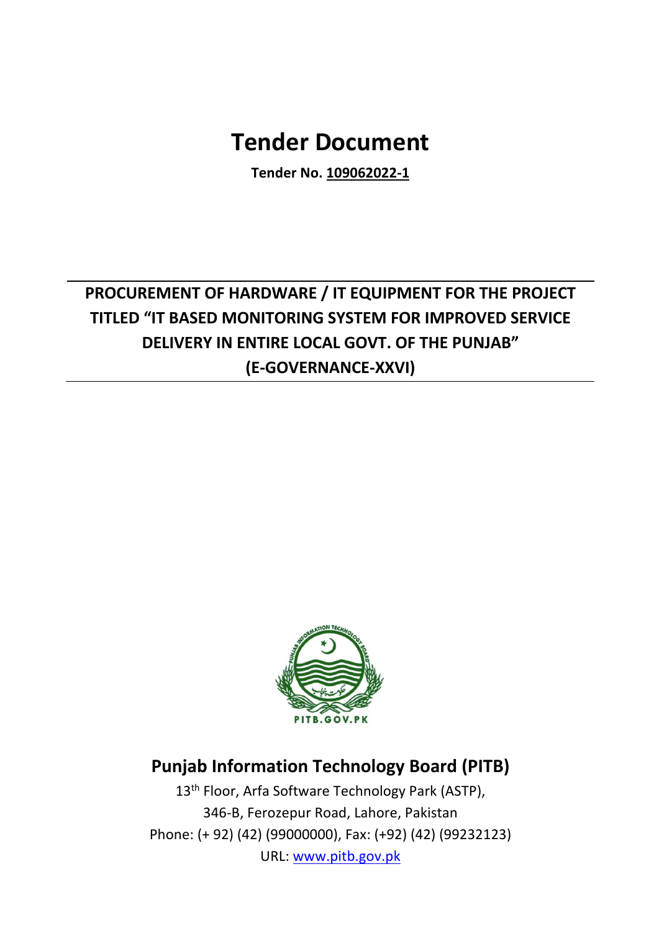# **Tender Document**

**Tender No. 109062022-1**

# **PROCUREMENT OF HARDWARE / IT EQUIPMENT FOR THE PROJECT TITLED "IT BASED MONITORING SYSTEM FOR IMPROVED SERVICE DELIVERY IN ENTIRE LOCAL GOVT. OF THE PUNJAB" (E-GOVERNANCE-XXVI)**



# **Punjab Information Technology Board (PITB)**

13<sup>th</sup> Floor, Arfa Software Technology Park (ASTP), 346-B, Ferozepur Road, Lahore, Pakistan Phone: (+ 92) (42) (99000000), Fax: (+92) (42) (99232123) URL: www.pitb.gov.pk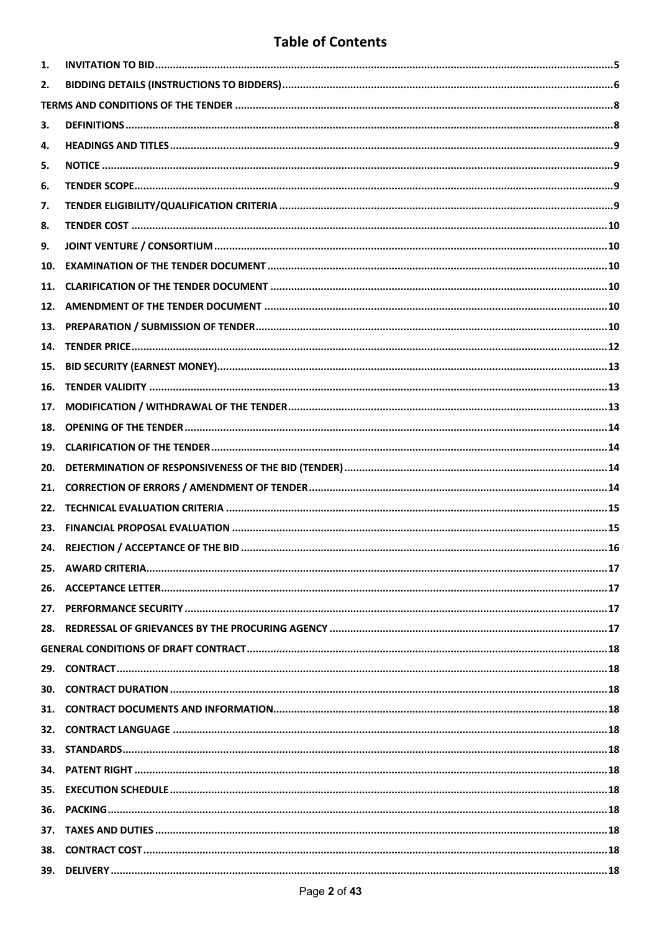# **Table of Contents**

| 1.  |  |
|-----|--|
| 2.  |  |
|     |  |
| з.  |  |
| 4.  |  |
| 5.  |  |
| 6.  |  |
| 7.  |  |
| 8.  |  |
| 9.  |  |
| 10. |  |
| 11. |  |
| 12. |  |
| 13. |  |
| 14. |  |
| 15. |  |
| 16. |  |
| 17. |  |
| 18. |  |
| 19. |  |
| 20. |  |
| 21. |  |
| 22. |  |
| 23. |  |
| 24. |  |
|     |  |
|     |  |
| 27. |  |
|     |  |
|     |  |
|     |  |
|     |  |
|     |  |
|     |  |
| 33. |  |
| 34. |  |
| 35. |  |
| 36. |  |
| 37. |  |
| 38. |  |
| 39. |  |
|     |  |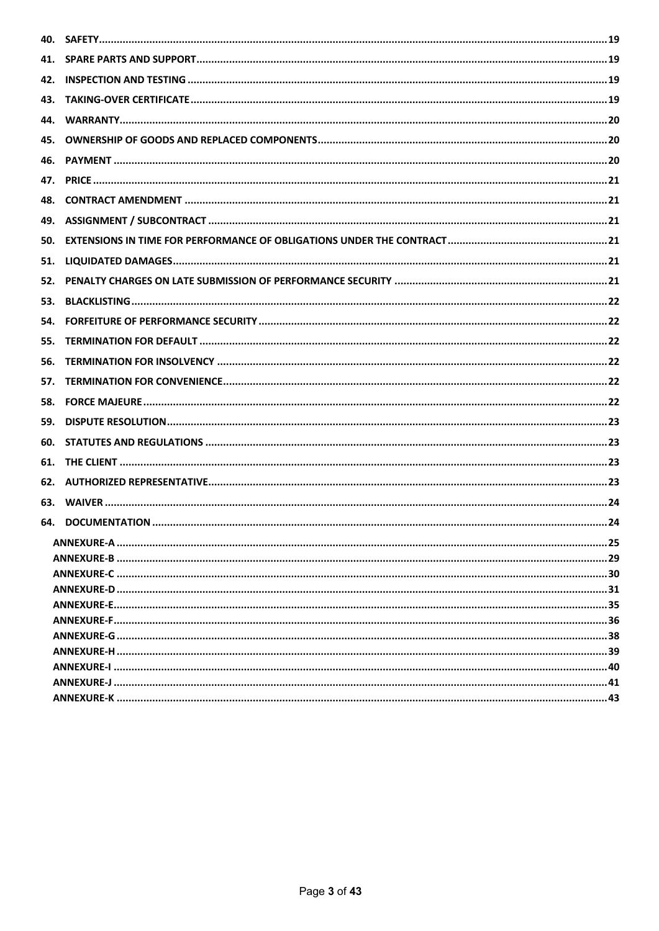| 41. |  |  |  |  |  |  |
|-----|--|--|--|--|--|--|
| 42. |  |  |  |  |  |  |
| 43. |  |  |  |  |  |  |
| 44. |  |  |  |  |  |  |
| 45. |  |  |  |  |  |  |
| 46. |  |  |  |  |  |  |
| 47. |  |  |  |  |  |  |
| 48. |  |  |  |  |  |  |
|     |  |  |  |  |  |  |
| 50. |  |  |  |  |  |  |
| 51. |  |  |  |  |  |  |
| 52. |  |  |  |  |  |  |
| 53. |  |  |  |  |  |  |
| 54. |  |  |  |  |  |  |
| 55. |  |  |  |  |  |  |
| 56. |  |  |  |  |  |  |
| 57. |  |  |  |  |  |  |
| 58. |  |  |  |  |  |  |
| 59. |  |  |  |  |  |  |
| 60. |  |  |  |  |  |  |
| 61. |  |  |  |  |  |  |
| 62. |  |  |  |  |  |  |
| 63. |  |  |  |  |  |  |
|     |  |  |  |  |  |  |
|     |  |  |  |  |  |  |
|     |  |  |  |  |  |  |
|     |  |  |  |  |  |  |
|     |  |  |  |  |  |  |
|     |  |  |  |  |  |  |
|     |  |  |  |  |  |  |
|     |  |  |  |  |  |  |
|     |  |  |  |  |  |  |
|     |  |  |  |  |  |  |
|     |  |  |  |  |  |  |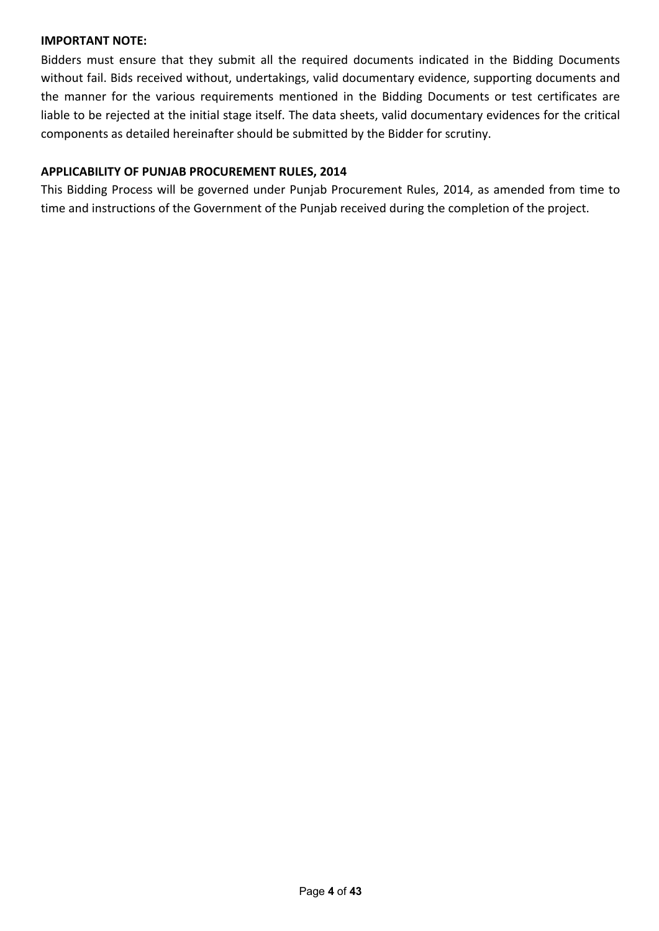## **IMPORTANT NOTE:**

Bidders must ensure that they submit all the required documents indicated in the Bidding Documents without fail. Bids received without, undertakings, valid documentary evidence, supporting documents and the manner for the various requirements mentioned in the Bidding Documents or test certificates are liable to be rejected at the initial stage itself. The data sheets, valid documentary evidences for the critical components as detailed hereinafter should be submitted by the Bidder for scrutiny.

## **APPLICABILITY OF PUNJAB PROCUREMENT RULES, 2014**

This Bidding Process will be governed under Punjab Procurement Rules, 2014, as amended from time to time and instructions of the Government of the Punjab received during the completion of the project.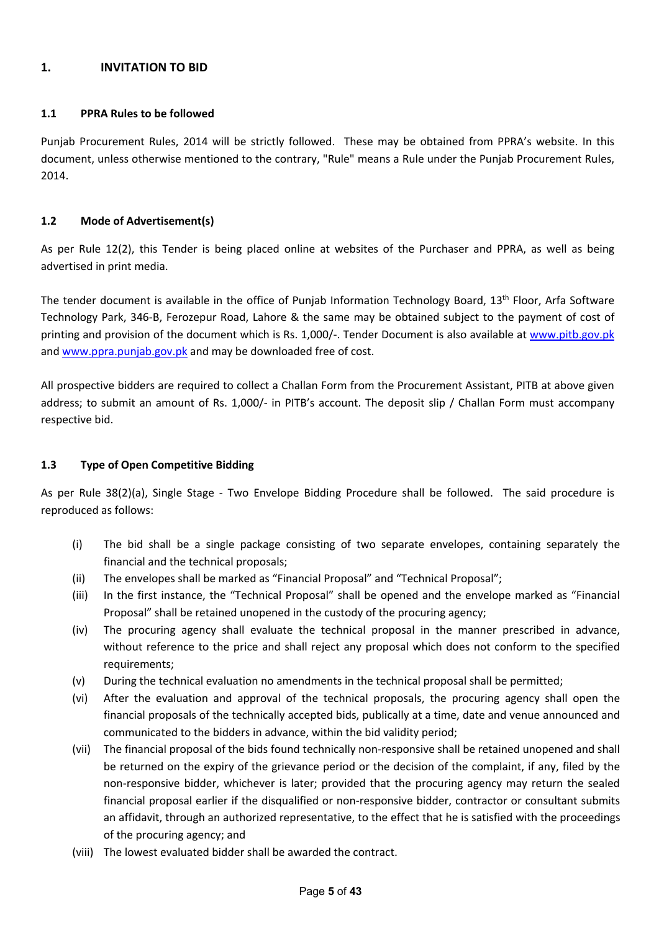## **1. INVITATION TO BID**

#### **1.1 PPRA Rules to be followed**

Punjab Procurement Rules, 2014 will be strictly followed. These may be obtained from PPRA's website. In this document, unless otherwise mentioned to the contrary, "Rule" means a Rule under the Punjab Procurement Rules, 2014.

#### **1.2 Mode of Advertisement(s)**

As per Rule 12(2), this Tender is being placed online at websites of the Purchaser and PPRA, as well as being advertised in print media.

The tender document is available in the office of Punjab Information Technology Board, 13th Floor, Arfa Software Technology Park, 346-B, Ferozepur Road, Lahore & the same may be obtained subject to the payment of cost of printing and provision of the document which is Rs. 1,000/-. Tender Document is also available at www.pitb.gov.pk and www.ppra.punjab.gov.pk and may be downloaded free of cost.

All prospective bidders are required to collect a Challan Form from the Procurement Assistant, PITB at above given address; to submit an amount of Rs. 1,000/- in PITB's account. The deposit slip / Challan Form must accompany respective bid.

#### **1.3 Type of Open Competitive Bidding**

As per Rule 38(2)(a), Single Stage - Two Envelope Bidding Procedure shall be followed. The said procedure is reproduced as follows:

- (i) The bid shall be a single package consisting of two separate envelopes, containing separately the financial and the technical proposals;
- (ii) The envelopes shall be marked as "Financial Proposal" and "Technical Proposal";
- (iii) In the first instance, the "Technical Proposal" shall be opened and the envelope marked as "Financial Proposal" shall be retained unopened in the custody of the procuring agency;
- (iv) The procuring agency shall evaluate the technical proposal in the manner prescribed in advance, without reference to the price and shall reject any proposal which does not conform to the specified requirements;
- (v) During the technical evaluation no amendments in the technical proposal shall be permitted;
- (vi) After the evaluation and approval of the technical proposals, the procuring agency shall open the financial proposals of the technically accepted bids, publically at a time, date and venue announced and communicated to the bidders in advance, within the bid validity period;
- (vii) The financial proposal of the bids found technically non-responsive shall be retained unopened and shall be returned on the expiry of the grievance period or the decision of the complaint, if any, filed by the non-responsive bidder, whichever is later; provided that the procuring agency may return the sealed financial proposal earlier if the disqualified or non-responsive bidder, contractor or consultant submits an affidavit, through an authorized representative, to the effect that he is satisfied with the proceedings of the procuring agency; and
- (viii) The lowest evaluated bidder shall be awarded the contract.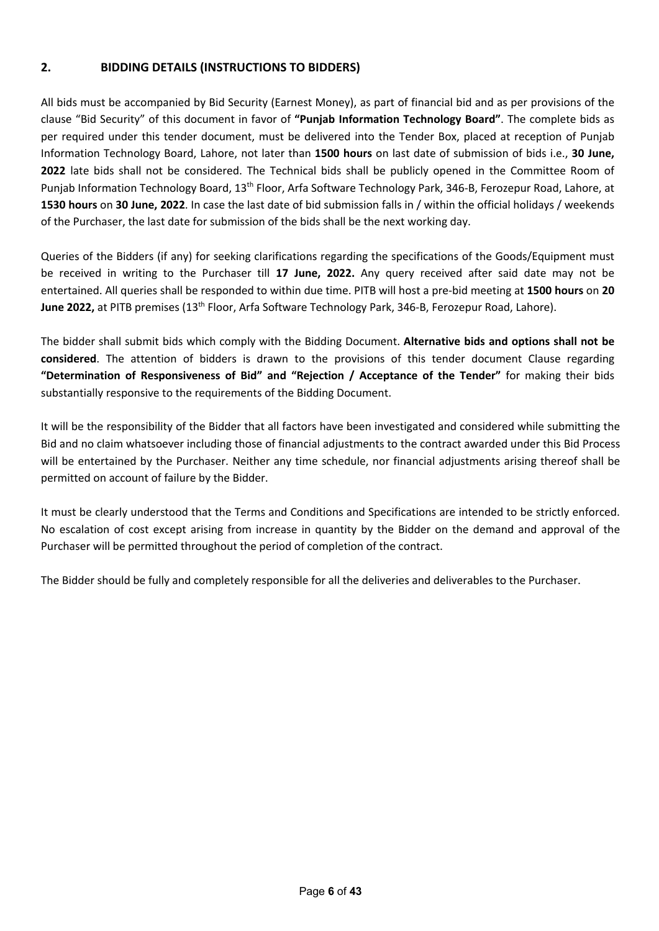## **2. BIDDING DETAILS (INSTRUCTIONS TO BIDDERS)**

All bids must be accompanied by Bid Security (Earnest Money), as part of financial bid and as per provisions of the clause "Bid Security" of this document in favor of **"Punjab Information Technology Board"**. The complete bids as per required under this tender document, must be delivered into the Tender Box, placed at reception of Punjab Information Technology Board, Lahore, not later than **1500 hours** on last date of submission of bids i.e., **30 June, 2022** late bids shall not be considered. The Technical bids shall be publicly opened in the Committee Room of Punjab Information Technology Board, 13th Floor, Arfa Software Technology Park, 346-B, Ferozepur Road, Lahore, at **1530 hours** on **30 June, 2022**. In case the last date of bid submission falls in / within the official holidays / weekends of the Purchaser, the last date for submission of the bids shall be the next working day.

Queries of the Bidders (if any) for seeking clarifications regarding the specifications of the Goods/Equipment must be received in writing to the Purchaser till **17 June, 2022.** Any query received after said date may not be entertained. All queries shall be responded to within due time. PITB will host a pre-bid meeting at **1500 hours** on **20**  June 2022, at PITB premises (13<sup>th</sup> Floor, Arfa Software Technology Park, 346-B, Ferozepur Road, Lahore).

The bidder shall submit bids which comply with the Bidding Document. **Alternative bids and options shall not be considered**. The attention of bidders is drawn to the provisions of this tender document Clause regarding **"Determination of Responsiveness of Bid" and "Rejection / Acceptance of the Tender"** for making their bids substantially responsive to the requirements of the Bidding Document.

It will be the responsibility of the Bidder that all factors have been investigated and considered while submitting the Bid and no claim whatsoever including those of financial adjustments to the contract awarded under this Bid Process will be entertained by the Purchaser. Neither any time schedule, nor financial adjustments arising thereof shall be permitted on account of failure by the Bidder.

It must be clearly understood that the Terms and Conditions and Specifications are intended to be strictly enforced. No escalation of cost except arising from increase in quantity by the Bidder on the demand and approval of the Purchaser will be permitted throughout the period of completion of the contract.

The Bidder should be fully and completely responsible for all the deliveries and deliverables to the Purchaser.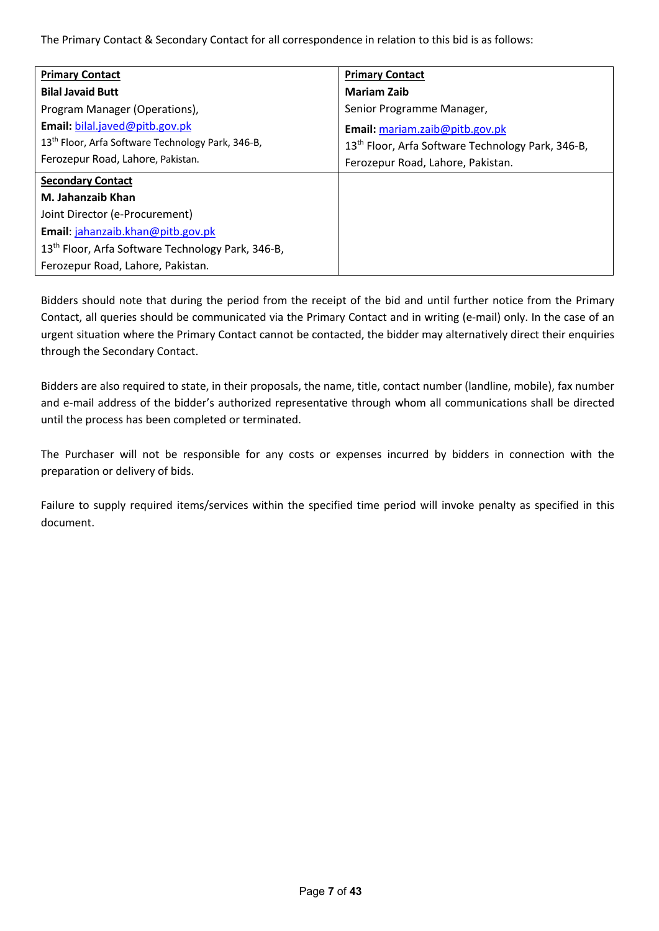The Primary Contact & Secondary Contact for all correspondence in relation to this bid is as follows:

| <b>Primary Contact</b>                                        | <b>Primary Contact</b>                                        |  |  |
|---------------------------------------------------------------|---------------------------------------------------------------|--|--|
| <b>Bilal Javaid Butt</b>                                      | <b>Mariam Zaib</b>                                            |  |  |
| Program Manager (Operations),                                 | Senior Programme Manager,                                     |  |  |
| Email: bilal.javed@pitb.gov.pk                                | Email: mariam.zaib@pitb.gov.pk                                |  |  |
| 13 <sup>th</sup> Floor, Arfa Software Technology Park, 346-B, | 13 <sup>th</sup> Floor, Arfa Software Technology Park, 346-B, |  |  |
| Ferozepur Road, Lahore, Pakistan.                             | Ferozepur Road, Lahore, Pakistan.                             |  |  |
| <b>Secondary Contact</b>                                      |                                                               |  |  |
| M. Jahanzaib Khan                                             |                                                               |  |  |
| Joint Director (e-Procurement)                                |                                                               |  |  |
| Email: jahanzaib.khan@pitb.gov.pk                             |                                                               |  |  |
| 13 <sup>th</sup> Floor, Arfa Software Technology Park, 346-B, |                                                               |  |  |
| Ferozepur Road, Lahore, Pakistan.                             |                                                               |  |  |

Bidders should note that during the period from the receipt of the bid and until further notice from the Primary Contact, all queries should be communicated via the Primary Contact and in writing (e-mail) only. In the case of an urgent situation where the Primary Contact cannot be contacted, the bidder may alternatively direct their enquiries through the Secondary Contact.

Bidders are also required to state, in their proposals, the name, title, contact number (landline, mobile), fax number and e-mail address of the bidder's authorized representative through whom all communications shall be directed until the process has been completed or terminated.

The Purchaser will not be responsible for any costs or expenses incurred by bidders in connection with the preparation or delivery of bids.

Failure to supply required items/services within the specified time period will invoke penalty as specified in this document.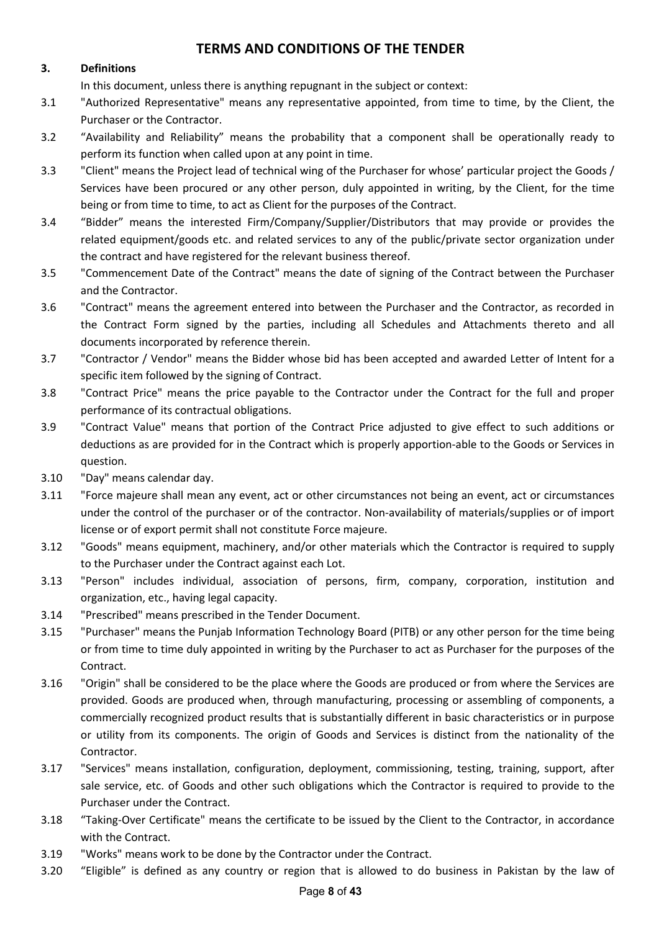# **TERMS AND CONDITIONS OF THE TENDER**

## **3. Definitions**

In this document, unless there is anything repugnant in the subject or context:

- 3.1 "Authorized Representative" means any representative appointed, from time to time, by the Client, the Purchaser or the Contractor.
- 3.2 "Availability and Reliability" means the probability that a component shall be operationally ready to perform its function when called upon at any point in time.
- 3.3 "Client" means the Project lead of technical wing of the Purchaser for whose' particular project the Goods / Services have been procured or any other person, duly appointed in writing, by the Client, for the time being or from time to time, to act as Client for the purposes of the Contract.
- 3.4 "Bidder" means the interested Firm/Company/Supplier/Distributors that may provide or provides the related equipment/goods etc. and related services to any of the public/private sector organization under the contract and have registered for the relevant business thereof.
- 3.5 "Commencement Date of the Contract" means the date of signing of the Contract between the Purchaser and the Contractor.
- 3.6 "Contract" means the agreement entered into between the Purchaser and the Contractor, as recorded in the Contract Form signed by the parties, including all Schedules and Attachments thereto and all documents incorporated by reference therein.
- 3.7 "Contractor / Vendor" means the Bidder whose bid has been accepted and awarded Letter of Intent for a specific item followed by the signing of Contract.
- 3.8 "Contract Price" means the price payable to the Contractor under the Contract for the full and proper performance of its contractual obligations.
- 3.9 "Contract Value" means that portion of the Contract Price adjusted to give effect to such additions or deductions as are provided for in the Contract which is properly apportion-able to the Goods or Services in question.
- 3.10 "Day" means calendar day.
- 3.11 "Force majeure shall mean any event, act or other circumstances not being an event, act or circumstances under the control of the purchaser or of the contractor. Non-availability of materials/supplies or of import license or of export permit shall not constitute Force majeure.
- 3.12 "Goods" means equipment, machinery, and/or other materials which the Contractor is required to supply to the Purchaser under the Contract against each Lot.
- 3.13 "Person" includes individual, association of persons, firm, company, corporation, institution and organization, etc., having legal capacity.
- 3.14 "Prescribed" means prescribed in the Tender Document.
- 3.15 "Purchaser" means the Punjab Information Technology Board (PITB) or any other person for the time being or from time to time duly appointed in writing by the Purchaser to act as Purchaser for the purposes of the Contract.
- 3.16 "Origin" shall be considered to be the place where the Goods are produced or from where the Services are provided. Goods are produced when, through manufacturing, processing or assembling of components, a commercially recognized product results that is substantially different in basic characteristics or in purpose or utility from its components. The origin of Goods and Services is distinct from the nationality of the Contractor.
- 3.17 "Services" means installation, configuration, deployment, commissioning, testing, training, support, after sale service, etc. of Goods and other such obligations which the Contractor is required to provide to the Purchaser under the Contract.
- 3.18 "Taking-Over Certificate" means the certificate to be issued by the Client to the Contractor, in accordance with the Contract.
- 3.19 "Works" means work to be done by the Contractor under the Contract.
- 3.20 "Eligible" is defined as any country or region that is allowed to do business in Pakistan by the law of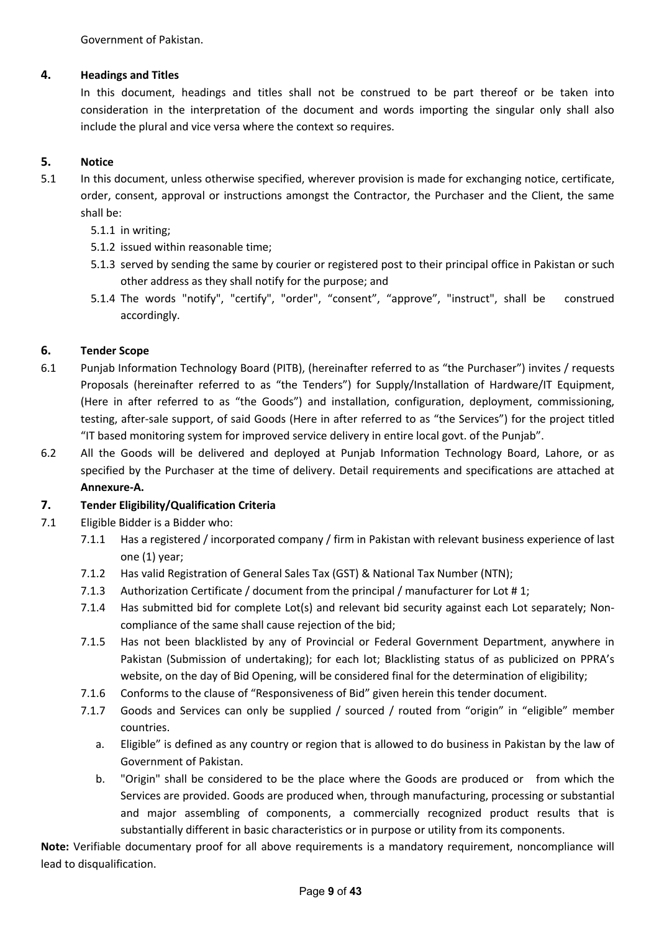Government of Pakistan.

## **4. Headings and Titles**

In this document, headings and titles shall not be construed to be part thereof or be taken into consideration in the interpretation of the document and words importing the singular only shall also include the plural and vice versa where the context so requires.

## **5. Notice**

- 5.1 In this document, unless otherwise specified, wherever provision is made for exchanging notice, certificate, order, consent, approval or instructions amongst the Contractor, the Purchaser and the Client, the same shall be:
	- 5.1.1 in writing;
	- 5.1.2 issued within reasonable time;
	- 5.1.3 served by sending the same by courier or registered post to their principal office in Pakistan or such other address as they shall notify for the purpose; and
	- 5.1.4 The words "notify", "certify", "order", "consent", "approve", "instruct", shall be construed accordingly.

## **6. Tender Scope**

- 6.1 Punjab Information Technology Board (PITB), (hereinafter referred to as "the Purchaser") invites / requests Proposals (hereinafter referred to as "the Tenders") for Supply/Installation of Hardware/IT Equipment, (Here in after referred to as "the Goods") and installation, configuration, deployment, commissioning, testing, after-sale support, of said Goods (Here in after referred to as "the Services") for the project titled "IT based monitoring system for improved service delivery in entire local govt. of the Punjab".
- 6.2 All the Goods will be delivered and deployed at Punjab Information Technology Board, Lahore, or as specified by the Purchaser at the time of delivery. Detail requirements and specifications are attached at **Annexure-A.**

## **7. Tender Eligibility/Qualification Criteria**

- 7.1 Eligible Bidder is a Bidder who:
	- 7.1.1 Has a registered / incorporated company / firm in Pakistan with relevant business experience of last one (1) year;
	- 7.1.2 Has valid Registration of General Sales Tax (GST) & National Tax Number (NTN);
	- 7.1.3 Authorization Certificate / document from the principal / manufacturer for Lot # 1;
	- 7.1.4 Has submitted bid for complete Lot(s) and relevant bid security against each Lot separately; Noncompliance of the same shall cause rejection of the bid;
	- 7.1.5 Has not been blacklisted by any of Provincial or Federal Government Department, anywhere in Pakistan (Submission of undertaking); for each lot; Blacklisting status of as publicized on PPRA's website, on the day of Bid Opening, will be considered final for the determination of eligibility;
	- 7.1.6 Conforms to the clause of "Responsiveness of Bid" given herein this tender document.
	- 7.1.7 Goods and Services can only be supplied / sourced / routed from "origin" in "eligible" member countries.
		- a. Eligible" is defined as any country or region that is allowed to do business in Pakistan by the law of Government of Pakistan.
		- b. "Origin" shall be considered to be the place where the Goods are produced or from which the Services are provided. Goods are produced when, through manufacturing, processing or substantial and major assembling of components, a commercially recognized product results that is substantially different in basic characteristics or in purpose or utility from its components.

**Note:** Verifiable documentary proof for all above requirements is a mandatory requirement, noncompliance will lead to disqualification.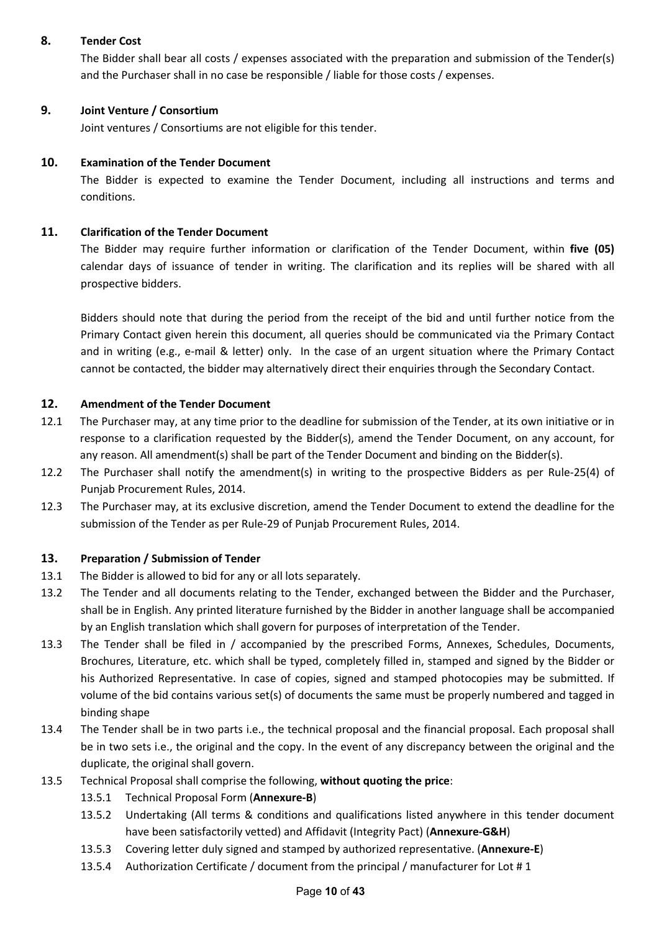## **8. Tender Cost**

The Bidder shall bear all costs / expenses associated with the preparation and submission of the Tender(s) and the Purchaser shall in no case be responsible / liable for those costs / expenses.

## **9. Joint Venture / Consortium**

Joint ventures / Consortiums are not eligible for this tender.

## **10. Examination of the Tender Document**

The Bidder is expected to examine the Tender Document, including all instructions and terms and conditions.

## **11. Clarification of the Tender Document**

The Bidder may require further information or clarification of the Tender Document, within **five (05)** calendar days of issuance of tender in writing. The clarification and its replies will be shared with all prospective bidders.

Bidders should note that during the period from the receipt of the bid and until further notice from the Primary Contact given herein this document, all queries should be communicated via the Primary Contact and in writing (e.g., e-mail & letter) only. In the case of an urgent situation where the Primary Contact cannot be contacted, the bidder may alternatively direct their enquiries through the Secondary Contact.

## **12. Amendment of the Tender Document**

- 12.1 The Purchaser may, at any time prior to the deadline for submission of the Tender, at its own initiative or in response to a clarification requested by the Bidder(s), amend the Tender Document, on any account, for any reason. All amendment(s) shall be part of the Tender Document and binding on the Bidder(s).
- 12.2 The Purchaser shall notify the amendment(s) in writing to the prospective Bidders as per Rule-25(4) of Punjab Procurement Rules, 2014.
- 12.3 The Purchaser may, at its exclusive discretion, amend the Tender Document to extend the deadline for the submission of the Tender as per Rule-29 of Punjab Procurement Rules, 2014.

## **13. Preparation / Submission of Tender**

- 13.1 The Bidder is allowed to bid for any or all lots separately.
- 13.2 The Tender and all documents relating to the Tender, exchanged between the Bidder and the Purchaser, shall be in English. Any printed literature furnished by the Bidder in another language shall be accompanied by an English translation which shall govern for purposes of interpretation of the Tender.
- 13.3 The Tender shall be filed in / accompanied by the prescribed Forms, Annexes, Schedules, Documents, Brochures, Literature, etc. which shall be typed, completely filled in, stamped and signed by the Bidder or his Authorized Representative. In case of copies, signed and stamped photocopies may be submitted. If volume of the bid contains various set(s) of documents the same must be properly numbered and tagged in binding shape
- 13.4 The Tender shall be in two parts i.e., the technical proposal and the financial proposal. Each proposal shall be in two sets i.e., the original and the copy. In the event of any discrepancy between the original and the duplicate, the original shall govern.
- 13.5 Technical Proposal shall comprise the following, **without quoting the price**:
	- 13.5.1 Technical Proposal Form (**Annexure-B**)
	- 13.5.2 Undertaking (All terms & conditions and qualifications listed anywhere in this tender document have been satisfactorily vetted) and Affidavit (Integrity Pact) (**Annexure-G&H**)
	- 13.5.3 Covering letter duly signed and stamped by authorized representative. (**Annexure-E**)
	- 13.5.4 Authorization Certificate / document from the principal / manufacturer for Lot # 1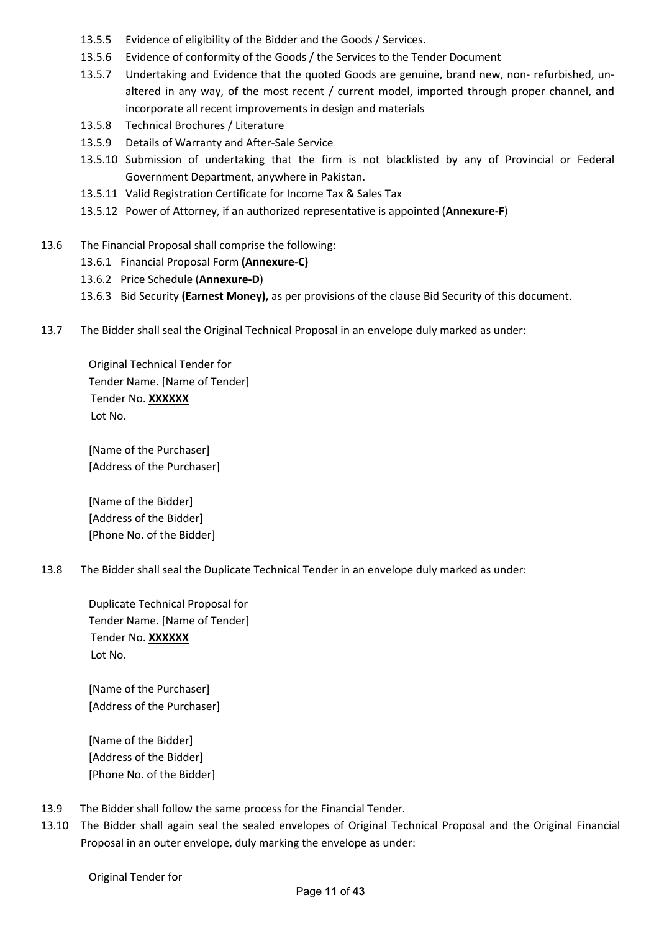- 13.5.5 Evidence of eligibility of the Bidder and the Goods / Services.
- 13.5.6 Evidence of conformity of the Goods / the Services to the Tender Document
- 13.5.7 Undertaking and Evidence that the quoted Goods are genuine, brand new, non- refurbished, unaltered in any way, of the most recent / current model, imported through proper channel, and incorporate all recent improvements in design and materials
- 13.5.8 Technical Brochures / Literature
- 13.5.9 Details of Warranty and After-Sale Service
- 13.5.10 Submission of undertaking that the firm is not blacklisted by any of Provincial or Federal Government Department, anywhere in Pakistan.
- 13.5.11 Valid Registration Certificate for Income Tax & Sales Tax
- 13.5.12 Power of Attorney, if an authorized representative is appointed (**Annexure-F**)
- 13.6 The Financial Proposal shall comprise the following:
	- 13.6.1 Financial Proposal Form **(Annexure-C)**
	- 13.6.2 Price Schedule (**Annexure-D**)
	- 13.6.3 Bid Security **(Earnest Money),** as per provisions of the clause Bid Security of this document.
- 13.7 The Bidder shall seal the Original Technical Proposal in an envelope duly marked as under:

Original Technical Tender for Tender Name. [Name of Tender] Tender No. **XXXXXX** Lot No.

[Name of the Purchaser] [Address of the Purchaser]

[Name of the Bidder] [Address of the Bidder] [Phone No. of the Bidder]

13.8 The Bidder shall seal the Duplicate Technical Tender in an envelope duly marked as under:

Duplicate Technical Proposal for Tender Name. [Name of Tender] Tender No. **XXXXXX** Lot No.

[Name of the Purchaser] [Address of the Purchaser]

[Name of the Bidder] [Address of the Bidder] [Phone No. of the Bidder]

- 13.9 The Bidder shall follow the same process for the Financial Tender.
- 13.10 The Bidder shall again seal the sealed envelopes of Original Technical Proposal and the Original Financial Proposal in an outer envelope, duly marking the envelope as under: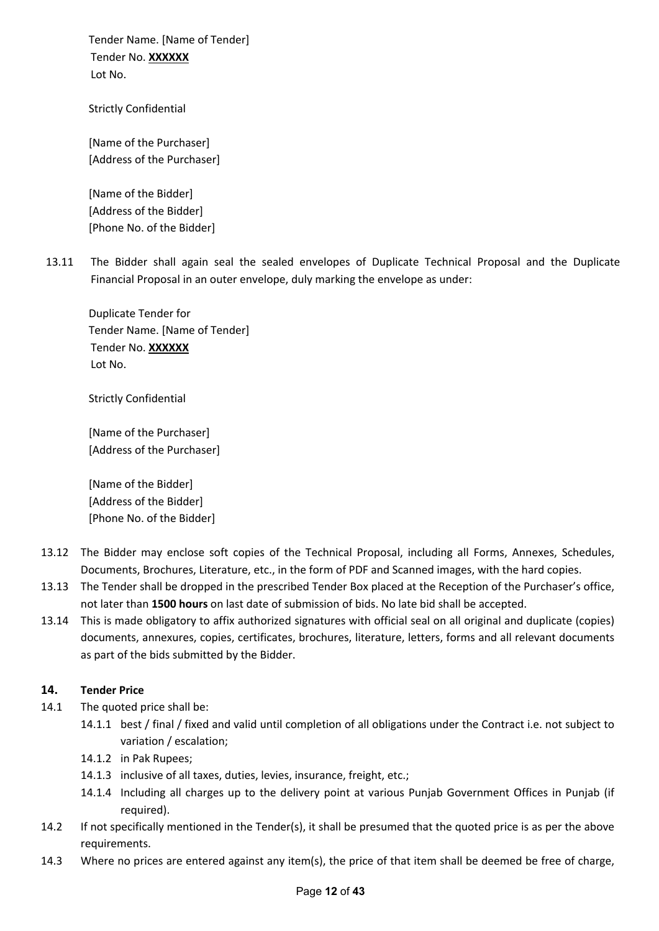Tender Name. [Name of Tender] Tender No. **XXXXXX** Lot No.

Strictly Confidential

[Name of the Purchaser] [Address of the Purchaser]

[Name of the Bidder] [Address of the Bidder] [Phone No. of the Bidder]

13.11 The Bidder shall again seal the sealed envelopes of Duplicate Technical Proposal and the Duplicate Financial Proposal in an outer envelope, duly marking the envelope as under:

Duplicate Tender for Tender Name. [Name of Tender] Tender No. **XXXXXX** Lot No.

Strictly Confidential

[Name of the Purchaser] [Address of the Purchaser]

[Name of the Bidder] [Address of the Bidder] [Phone No. of the Bidder]

- 13.12 The Bidder may enclose soft copies of the Technical Proposal, including all Forms, Annexes, Schedules, Documents, Brochures, Literature, etc., in the form of PDF and Scanned images, with the hard copies.
- 13.13 The Tender shall be dropped in the prescribed Tender Box placed at the Reception of the Purchaser's office, not later than **1500 hours** on last date of submission of bids. No late bid shall be accepted.
- 13.14 This is made obligatory to affix authorized signatures with official seal on all original and duplicate (copies) documents, annexures, copies, certificates, brochures, literature, letters, forms and all relevant documents as part of the bids submitted by the Bidder.

## **14. Tender Price**

- 14.1 The quoted price shall be:
	- 14.1.1 best / final / fixed and valid until completion of all obligations under the Contract i.e. not subject to variation / escalation;
	- 14.1.2 in Pak Rupees;
	- 14.1.3 inclusive of all taxes, duties, levies, insurance, freight, etc.;
	- 14.1.4 Including all charges up to the delivery point at various Punjab Government Offices in Punjab (if required).
- 14.2 If not specifically mentioned in the Tender(s), it shall be presumed that the quoted price is as per the above requirements.
- 14.3 Where no prices are entered against any item(s), the price of that item shall be deemed be free of charge,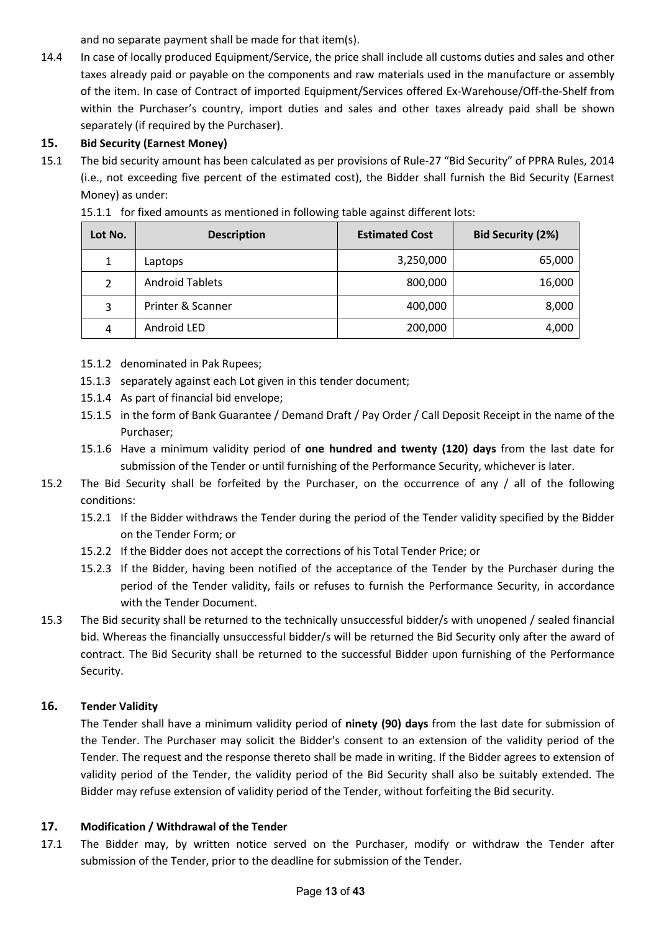and no separate payment shall be made for that item(s).

14.4 In case of locally produced Equipment/Service, the price shall include all customs duties and sales and other taxes already paid or payable on the components and raw materials used in the manufacture or assembly of the item. In case of Contract of imported Equipment/Services offered Ex-Warehouse/Off-the-Shelf from within the Purchaser's country, import duties and sales and other taxes already paid shall be shown separately (if required by the Purchaser).

## **15. Bid Security (Earnest Money)**

15.1 The bid security amount has been calculated as per provisions of Rule-27 "Bid Security" of PPRA Rules, 2014 (i.e., not exceeding five percent of the estimated cost), the Bidder shall furnish the Bid Security (Earnest Money) as under:

| Lot No.        | <b>Description</b>     | <b>Estimated Cost</b> | <b>Bid Security (2%)</b> |  |
|----------------|------------------------|-----------------------|--------------------------|--|
| $\mathbf{1}$   | Laptops                | 3,250,000             | 65,000                   |  |
| $\mathfrak{D}$ | <b>Android Tablets</b> | 800,000               | 16,000                   |  |
| 3              | Printer & Scanner      | 400,000               | 8,000                    |  |
| 4              | Android LED            | 200,000               | 4,000                    |  |

15.1.1 for fixed amounts as mentioned in following table against different lots:

- 15.1.2 denominated in Pak Rupees;
- 15.1.3 separately against each Lot given in this tender document;
- 15.1.4 As part of financial bid envelope;
- 15.1.5 in the form of Bank Guarantee / Demand Draft / Pay Order / Call Deposit Receipt in the name of the Purchaser;
- 15.1.6 Have a minimum validity period of **one hundred and twenty (120) days** from the last date for submission of the Tender or until furnishing of the Performance Security, whichever is later.
- 15.2 The Bid Security shall be forfeited by the Purchaser, on the occurrence of any / all of the following conditions:
	- 15.2.1 If the Bidder withdraws the Tender during the period of the Tender validity specified by the Bidder on the Tender Form; or
	- 15.2.2 If the Bidder does not accept the corrections of his Total Tender Price; or
	- 15.2.3 If the Bidder, having been notified of the acceptance of the Tender by the Purchaser during the period of the Tender validity, fails or refuses to furnish the Performance Security, in accordance with the Tender Document.
- 15.3 The Bid security shall be returned to the technically unsuccessful bidder/s with unopened / sealed financial bid. Whereas the financially unsuccessful bidder/s will be returned the Bid Security only after the award of contract. The Bid Security shall be returned to the successful Bidder upon furnishing of the Performance Security.

## **16. Tender Validity**

The Tender shall have a minimum validity period of **ninety (90) days** from the last date for submission of the Tender. The Purchaser may solicit the Bidder's consent to an extension of the validity period of the Tender. The request and the response thereto shall be made in writing. If the Bidder agrees to extension of validity period of the Tender, the validity period of the Bid Security shall also be suitably extended. The Bidder may refuse extension of validity period of the Tender, without forfeiting the Bid security.

## **17. Modification / Withdrawal of the Tender**

17.1 The Bidder may, by written notice served on the Purchaser, modify or withdraw the Tender after submission of the Tender, prior to the deadline for submission of the Tender.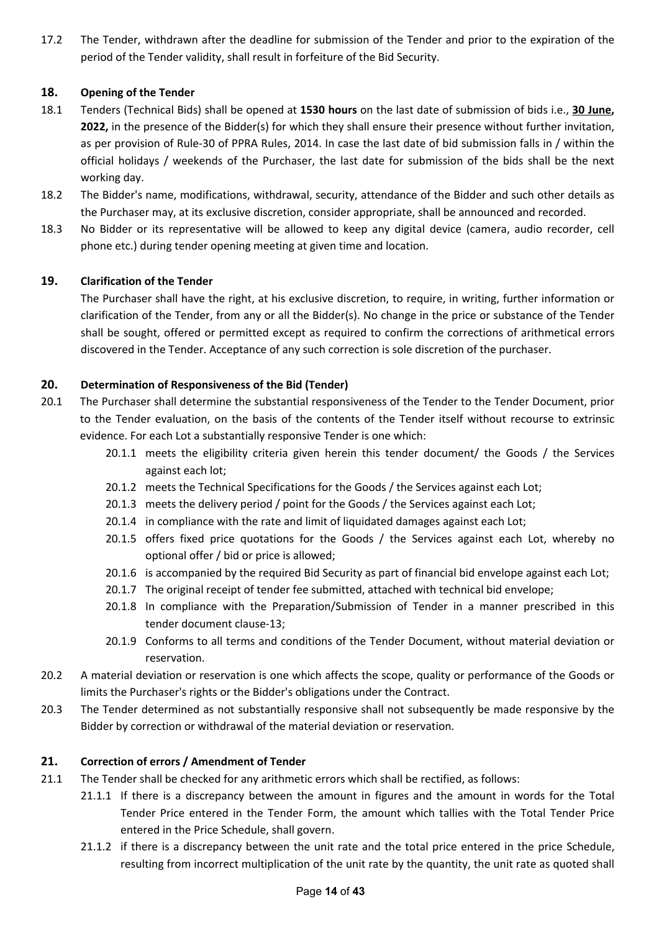17.2 The Tender, withdrawn after the deadline for submission of the Tender and prior to the expiration of the period of the Tender validity, shall result in forfeiture of the Bid Security.

## **18. Opening of the Tender**

- 18.1 Tenders (Technical Bids) shall be opened at **1530 hours** on the last date of submission of bids i.e., **30 June, 2022,** in the presence of the Bidder(s) for which they shall ensure their presence without further invitation, as per provision of Rule-30 of PPRA Rules, 2014. In case the last date of bid submission falls in / within the official holidays / weekends of the Purchaser, the last date for submission of the bids shall be the next working day.
- 18.2 The Bidder's name, modifications, withdrawal, security, attendance of the Bidder and such other details as the Purchaser may, at its exclusive discretion, consider appropriate, shall be announced and recorded.
- 18.3 No Bidder or its representative will be allowed to keep any digital device (camera, audio recorder, cell phone etc.) during tender opening meeting at given time and location.

## **19. Clarification of the Tender**

The Purchaser shall have the right, at his exclusive discretion, to require, in writing, further information or clarification of the Tender, from any or all the Bidder(s). No change in the price or substance of the Tender shall be sought, offered or permitted except as required to confirm the corrections of arithmetical errors discovered in the Tender. Acceptance of any such correction is sole discretion of the purchaser.

## **20. Determination of Responsiveness of the Bid (Tender)**

- 20.1 The Purchaser shall determine the substantial responsiveness of the Tender to the Tender Document, prior to the Tender evaluation, on the basis of the contents of the Tender itself without recourse to extrinsic evidence. For each Lot a substantially responsive Tender is one which:
	- 20.1.1 meets the eligibility criteria given herein this tender document/ the Goods / the Services against each lot;
	- 20.1.2 meets the Technical Specifications for the Goods / the Services against each Lot;
	- 20.1.3 meets the delivery period / point for the Goods / the Services against each Lot;
	- 20.1.4 in compliance with the rate and limit of liquidated damages against each Lot;
	- 20.1.5 offers fixed price quotations for the Goods / the Services against each Lot, whereby no optional offer / bid or price is allowed;
	- 20.1.6 is accompanied by the required Bid Security as part of financial bid envelope against each Lot;
	- 20.1.7 The original receipt of tender fee submitted, attached with technical bid envelope;
	- 20.1.8 In compliance with the Preparation/Submission of Tender in a manner prescribed in this tender document clause-13;
	- 20.1.9 Conforms to all terms and conditions of the Tender Document, without material deviation or reservation.
- 20.2 A material deviation or reservation is one which affects the scope, quality or performance of the Goods or limits the Purchaser's rights or the Bidder's obligations under the Contract.
- 20.3 The Tender determined as not substantially responsive shall not subsequently be made responsive by the Bidder by correction or withdrawal of the material deviation or reservation.

## **21. Correction of errors / Amendment of Tender**

- 21.1 The Tender shall be checked for any arithmetic errors which shall be rectified, as follows:
	- 21.1.1 If there is a discrepancy between the amount in figures and the amount in words for the Total Tender Price entered in the Tender Form, the amount which tallies with the Total Tender Price entered in the Price Schedule, shall govern.
	- 21.1.2 if there is a discrepancy between the unit rate and the total price entered in the price Schedule, resulting from incorrect multiplication of the unit rate by the quantity, the unit rate as quoted shall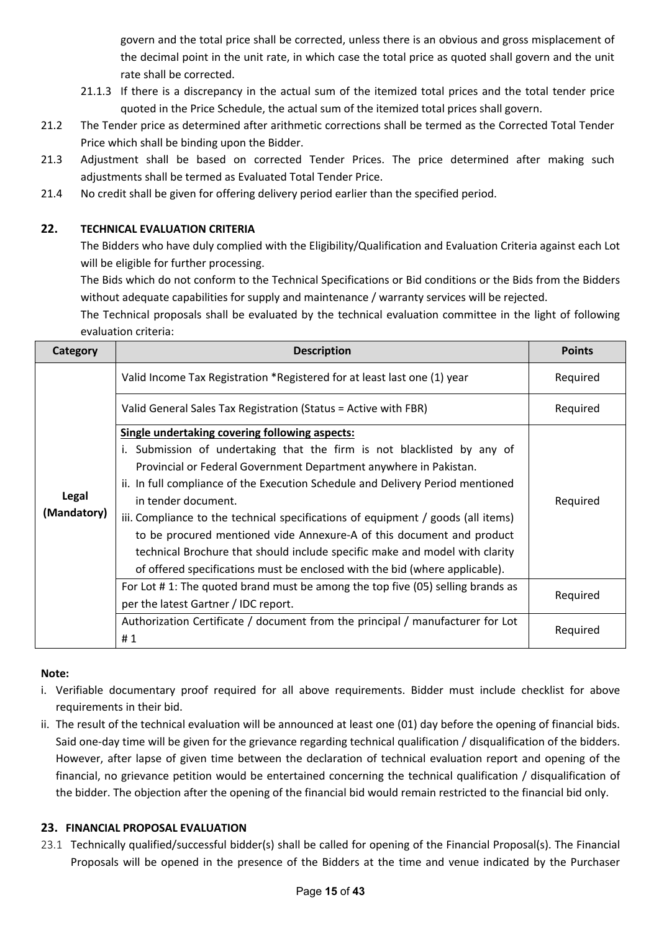govern and the total price shall be corrected, unless there is an obvious and gross misplacement of the decimal point in the unit rate, in which case the total price as quoted shall govern and the unit rate shall be corrected.

- 21.1.3 If there is a discrepancy in the actual sum of the itemized total prices and the total tender price quoted in the Price Schedule, the actual sum of the itemized total prices shall govern.
- 21.2 The Tender price as determined after arithmetic corrections shall be termed as the Corrected Total Tender Price which shall be binding upon the Bidder.
- 21.3 Adjustment shall be based on corrected Tender Prices. The price determined after making such adjustments shall be termed as Evaluated Total Tender Price.
- 21.4 No credit shall be given for offering delivery period earlier than the specified period.

## **22. TECHNICAL EVALUATION CRITERIA**

The Bidders who have duly complied with the Eligibility/Qualification and Evaluation Criteria against each Lot will be eligible for further processing.

The Bids which do not conform to the Technical Specifications or Bid conditions or the Bids from the Bidders without adequate capabilities for supply and maintenance / warranty services will be rejected.

The Technical proposals shall be evaluated by the technical evaluation committee in the light of following evaluation criteria:

| Category             | <b>Description</b>                                                                                                                                                                                                                                                                                                                                                                                                                                                                                                                                         |          |  |  |
|----------------------|------------------------------------------------------------------------------------------------------------------------------------------------------------------------------------------------------------------------------------------------------------------------------------------------------------------------------------------------------------------------------------------------------------------------------------------------------------------------------------------------------------------------------------------------------------|----------|--|--|
|                      | Valid Income Tax Registration *Registered for at least last one (1) year                                                                                                                                                                                                                                                                                                                                                                                                                                                                                   | Required |  |  |
|                      | Valid General Sales Tax Registration (Status = Active with FBR)                                                                                                                                                                                                                                                                                                                                                                                                                                                                                            | Required |  |  |
| Legal<br>(Mandatory) | <b>Single undertaking covering following aspects:</b><br>i. Submission of undertaking that the firm is not blacklisted by any of<br>Provincial or Federal Government Department anywhere in Pakistan.<br>ii. In full compliance of the Execution Schedule and Delivery Period mentioned<br>in tender document.<br>iii. Compliance to the technical specifications of equipment / goods (all items)<br>to be procured mentioned vide Annexure-A of this document and product<br>technical Brochure that should include specific make and model with clarity | Required |  |  |
|                      | of offered specifications must be enclosed with the bid (where applicable).<br>For Lot # 1: The quoted brand must be among the top five (05) selling brands as<br>per the latest Gartner / IDC report.                                                                                                                                                                                                                                                                                                                                                     | Required |  |  |
|                      | Authorization Certificate / document from the principal / manufacturer for Lot<br>#1                                                                                                                                                                                                                                                                                                                                                                                                                                                                       | Required |  |  |

#### **Note:**

- i. Verifiable documentary proof required for all above requirements. Bidder must include checklist for above requirements in their bid.
- ii. The result of the technical evaluation will be announced at least one (01) day before the opening of financial bids. Said one-day time will be given for the grievance regarding technical qualification / disqualification of the bidders. However, after lapse of given time between the declaration of technical evaluation report and opening of the financial, no grievance petition would be entertained concerning the technical qualification / disqualification of the bidder. The objection after the opening of the financial bid would remain restricted to the financial bid only.

## **23. FINANCIAL PROPOSAL EVALUATION**

23.1 Technically qualified/successful bidder(s) shall be called for opening of the Financial Proposal(s). The Financial Proposals will be opened in the presence of the Bidders at the time and venue indicated by the Purchaser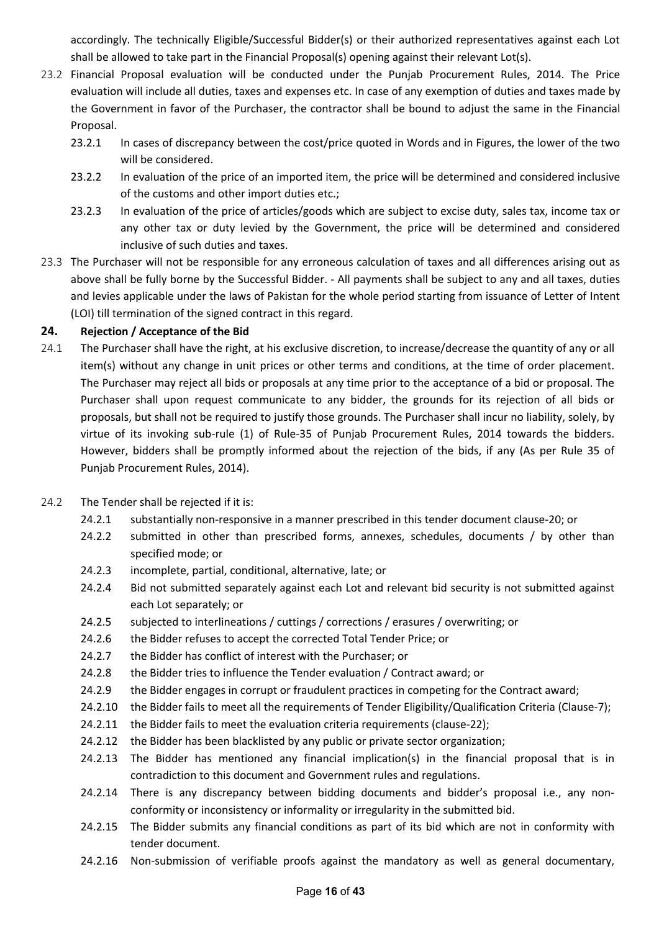accordingly. The technically Eligible/Successful Bidder(s) or their authorized representatives against each Lot shall be allowed to take part in the Financial Proposal(s) opening against their relevant Lot(s).

- 23.2 Financial Proposal evaluation will be conducted under the Punjab Procurement Rules, 2014. The Price evaluation will include all duties, taxes and expenses etc. In case of any exemption of duties and taxes made by the Government in favor of the Purchaser, the contractor shall be bound to adjust the same in the Financial Proposal.
	- 23.2.1 In cases of discrepancy between the cost/price quoted in Words and in Figures, the lower of the two will be considered.
	- 23.2.2 In evaluation of the price of an imported item, the price will be determined and considered inclusive of the customs and other import duties etc.;
	- 23.2.3 In evaluation of the price of articles/goods which are subject to excise duty, sales tax, income tax or any other tax or duty levied by the Government, the price will be determined and considered inclusive of such duties and taxes.
- 23.3 The Purchaser will not be responsible for any erroneous calculation of taxes and all differences arising out as above shall be fully borne by the Successful Bidder. - All payments shall be subject to any and all taxes, duties and levies applicable under the laws of Pakistan for the whole period starting from issuance of Letter of Intent (LOI) till termination of the signed contract in this regard.

## **24. Rejection / Acceptance of the Bid**

- 24.1 The Purchaser shall have the right, at his exclusive discretion, to increase/decrease the quantity of any or all item(s) without any change in unit prices or other terms and conditions, at the time of order placement. The Purchaser may reject all bids or proposals at any time prior to the acceptance of a bid or proposal. The Purchaser shall upon request communicate to any bidder, the grounds for its rejection of all bids or proposals, but shall not be required to justify those grounds. The Purchaser shall incur no liability, solely, by virtue of its invoking sub-rule (1) of Rule-35 of Punjab Procurement Rules, 2014 towards the bidders. However, bidders shall be promptly informed about the rejection of the bids, if any (As per Rule 35 of Punjab Procurement Rules, 2014).
- 24.2 The Tender shall be rejected if it is:
	- 24.2.1 substantially non-responsive in a manner prescribed in this tender document clause-20; or
	- 24.2.2 submitted in other than prescribed forms, annexes, schedules, documents / by other than specified mode; or
	- 24.2.3 incomplete, partial, conditional, alternative, late; or
	- 24.2.4 Bid not submitted separately against each Lot and relevant bid security is not submitted against each Lot separately; or
	- 24.2.5 subjected to interlineations / cuttings / corrections / erasures / overwriting; or
	- 24.2.6 the Bidder refuses to accept the corrected Total Tender Price; or
	- 24.2.7 the Bidder has conflict of interest with the Purchaser; or
	- 24.2.8 the Bidder tries to influence the Tender evaluation / Contract award; or
	- 24.2.9 the Bidder engages in corrupt or fraudulent practices in competing for the Contract award;
	- 24.2.10 the Bidder fails to meet all the requirements of Tender Eligibility/Qualification Criteria (Clause-7);
	- 24.2.11 the Bidder fails to meet the evaluation criteria requirements (clause-22);
	- 24.2.12 the Bidder has been blacklisted by any public or private sector organization;
	- 24.2.13 The Bidder has mentioned any financial implication(s) in the financial proposal that is in contradiction to this document and Government rules and regulations.
	- 24.2.14 There is any discrepancy between bidding documents and bidder's proposal i.e., any nonconformity or inconsistency or informality or irregularity in the submitted bid.
	- 24.2.15 The Bidder submits any financial conditions as part of its bid which are not in conformity with tender document.
	- 24.2.16 Non-submission of verifiable proofs against the mandatory as well as general documentary,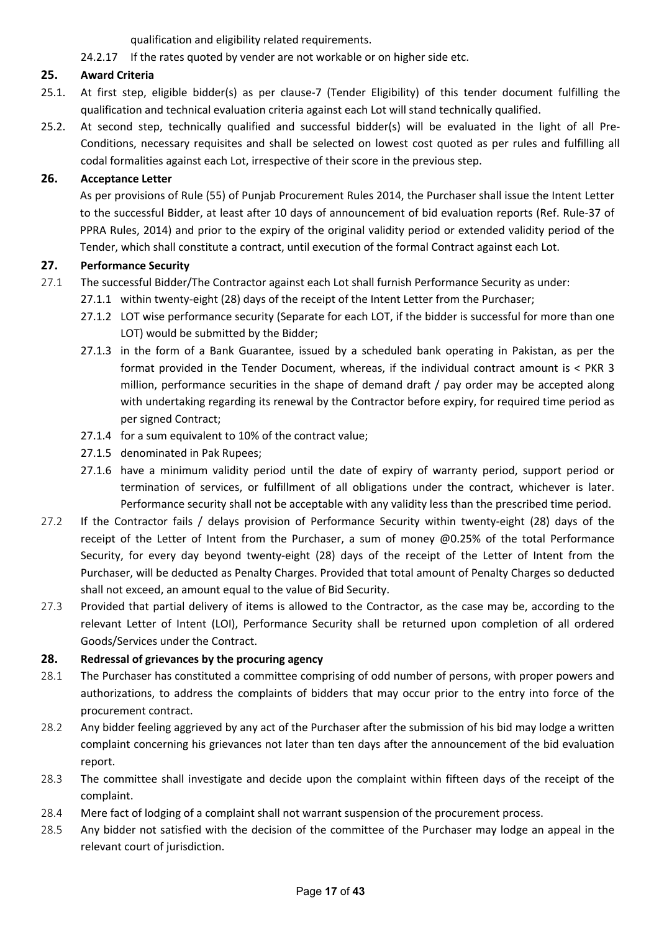qualification and eligibility related requirements.

24.2.17 If the rates quoted by vender are not workable or on higher side etc.

## **25. Award Criteria**

- 25.1. At first step, eligible bidder(s) as per clause-7 (Tender Eligibility) of this tender document fulfilling the qualification and technical evaluation criteria against each Lot will stand technically qualified.
- 25.2. At second step, technically qualified and successful bidder(s) will be evaluated in the light of all Pre-Conditions, necessary requisites and shall be selected on lowest cost quoted as per rules and fulfilling all codal formalities against each Lot, irrespective of their score in the previous step.

## **26. Acceptance Letter**

As per provisions of Rule (55) of Punjab Procurement Rules 2014, the Purchaser shall issue the Intent Letter to the successful Bidder, at least after 10 days of announcement of bid evaluation reports (Ref. Rule-37 of PPRA Rules, 2014) and prior to the expiry of the original validity period or extended validity period of the Tender, which shall constitute a contract, until execution of the formal Contract against each Lot.

## **27. Performance Security**

- 27.1 The successful Bidder/The Contractor against each Lot shall furnish Performance Security as under:
	- 27.1.1 within twenty-eight (28) days of the receipt of the Intent Letter from the Purchaser;
		- 27.1.2 LOT wise performance security (Separate for each LOT, if the bidder is successful for more than one LOT) would be submitted by the Bidder;
		- 27.1.3 in the form of a Bank Guarantee, issued by a scheduled bank operating in Pakistan, as per the format provided in the Tender Document, whereas, if the individual contract amount is < PKR 3 million, performance securities in the shape of demand draft / pay order may be accepted along with undertaking regarding its renewal by the Contractor before expiry, for required time period as per signed Contract;
		- 27.1.4 for a sum equivalent to 10% of the contract value;
		- 27.1.5 denominated in Pak Rupees;
	- 27.1.6 have a minimum validity period until the date of expiry of warranty period, support period or termination of services, or fulfillment of all obligations under the contract, whichever is later. Performance security shall not be acceptable with any validity less than the prescribed time period.
- 27.2 If the Contractor fails / delays provision of Performance Security within twenty-eight (28) days of the receipt of the Letter of Intent from the Purchaser, a sum of money @0.25% of the total Performance Security, for every day beyond twenty-eight (28) days of the receipt of the Letter of Intent from the Purchaser, will be deducted as Penalty Charges. Provided that total amount of Penalty Charges so deducted shall not exceed, an amount equal to the value of Bid Security.
- 27.3 Provided that partial delivery of items is allowed to the Contractor, as the case may be, according to the relevant Letter of Intent (LOI), Performance Security shall be returned upon completion of all ordered Goods/Services under the Contract.

## **28. Redressal of grievances by the procuring agency**

- 28.1 The Purchaser has constituted a committee comprising of odd number of persons, with proper powers and authorizations, to address the complaints of bidders that may occur prior to the entry into force of the procurement contract.
- 28.2 Any bidder feeling aggrieved by any act of the Purchaser after the submission of his bid may lodge a written complaint concerning his grievances not later than ten days after the announcement of the bid evaluation report.
- 28.3 The committee shall investigate and decide upon the complaint within fifteen days of the receipt of the complaint.
- 28.4 Mere fact of lodging of a complaint shall not warrant suspension of the procurement process.
- 28.5 Any bidder not satisfied with the decision of the committee of the Purchaser may lodge an appeal in the relevant court of jurisdiction.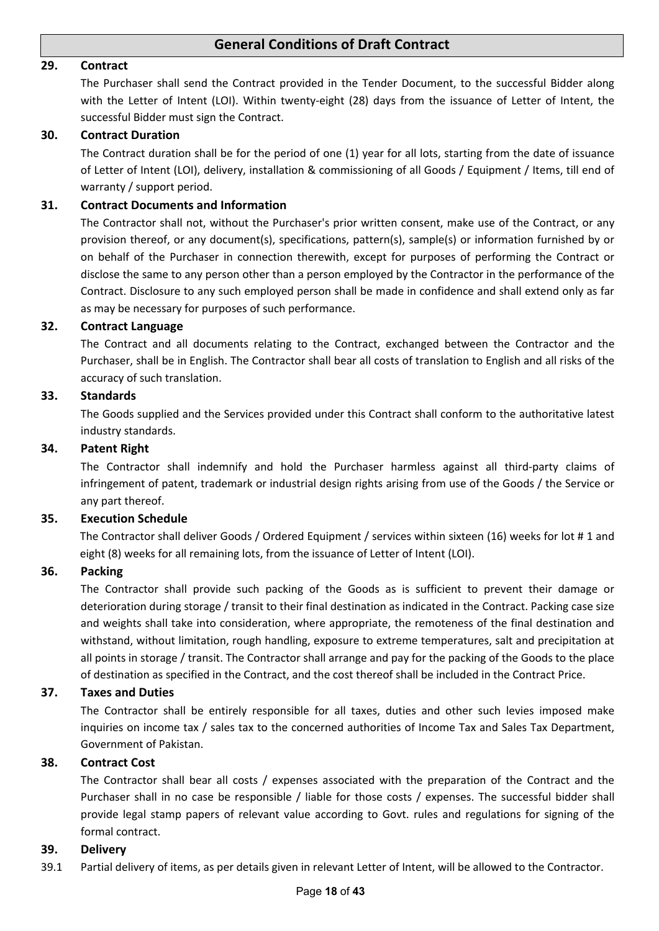# **General Conditions of Draft Contract**

#### **29. Contract**

The Purchaser shall send the Contract provided in the Tender Document, to the successful Bidder along with the Letter of Intent (LOI). Within twenty-eight (28) days from the issuance of Letter of Intent, the successful Bidder must sign the Contract.

### **30. Contract Duration**

The Contract duration shall be for the period of one (1) year for all lots, starting from the date of issuance of Letter of Intent (LOI), delivery, installation & commissioning of all Goods / Equipment / Items, till end of warranty / support period.

## **31. Contract Documents and Information**

The Contractor shall not, without the Purchaser's prior written consent, make use of the Contract, or any provision thereof, or any document(s), specifications, pattern(s), sample(s) or information furnished by or on behalf of the Purchaser in connection therewith, except for purposes of performing the Contract or disclose the same to any person other than a person employed by the Contractor in the performance of the Contract. Disclosure to any such employed person shall be made in confidence and shall extend only as far as may be necessary for purposes of such performance.

#### **32. Contract Language**

The Contract and all documents relating to the Contract, exchanged between the Contractor and the Purchaser, shall be in English. The Contractor shall bear all costs of translation to English and all risks of the accuracy of such translation.

#### **33. Standards**

The Goods supplied and the Services provided under this Contract shall conform to the authoritative latest industry standards.

#### **34. Patent Right**

The Contractor shall indemnify and hold the Purchaser harmless against all third-party claims of infringement of patent, trademark or industrial design rights arising from use of the Goods / the Service or any part thereof.

#### **35. Execution Schedule**

The Contractor shall deliver Goods / Ordered Equipment / services within sixteen (16) weeks for lot # 1 and eight (8) weeks for all remaining lots, from the issuance of Letter of Intent (LOI).

#### **36. Packing**

The Contractor shall provide such packing of the Goods as is sufficient to prevent their damage or deterioration during storage / transit to their final destination as indicated in the Contract. Packing case size and weights shall take into consideration, where appropriate, the remoteness of the final destination and withstand, without limitation, rough handling, exposure to extreme temperatures, salt and precipitation at all points in storage / transit. The Contractor shall arrange and pay for the packing of the Goods to the place of destination as specified in the Contract, and the cost thereof shall be included in the Contract Price.

#### **37. Taxes and Duties**

The Contractor shall be entirely responsible for all taxes, duties and other such levies imposed make inquiries on income tax / sales tax to the concerned authorities of Income Tax and Sales Tax Department, Government of Pakistan.

#### **38. Contract Cost**

The Contractor shall bear all costs / expenses associated with the preparation of the Contract and the Purchaser shall in no case be responsible / liable for those costs / expenses. The successful bidder shall provide legal stamp papers of relevant value according to Govt. rules and regulations for signing of the formal contract.

#### **39. Delivery**

39.1 Partial delivery of items, as per details given in relevant Letter of Intent, will be allowed to the Contractor.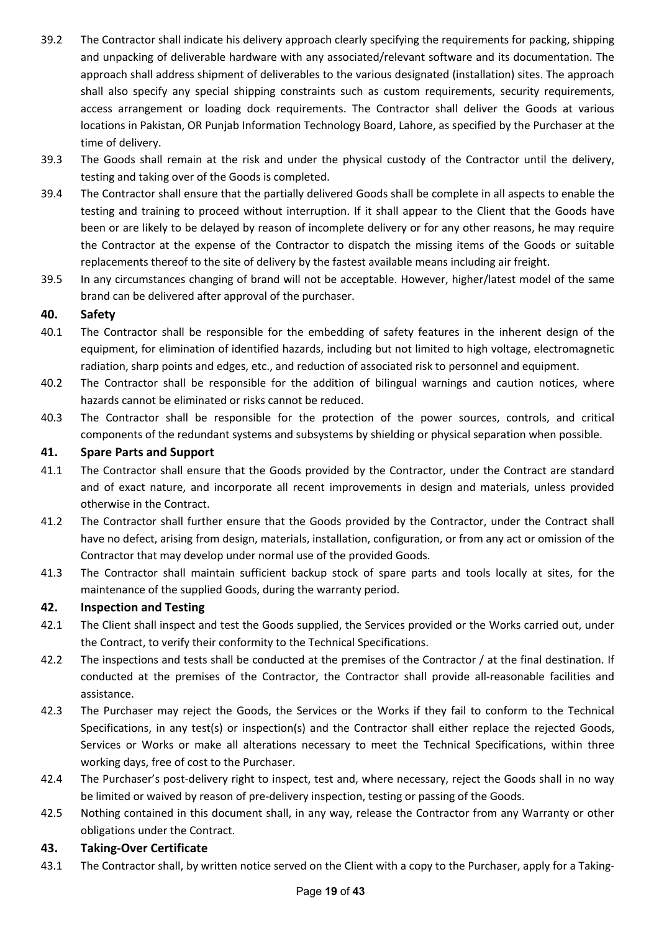- 39.2 The Contractor shall indicate his delivery approach clearly specifying the requirements for packing, shipping and unpacking of deliverable hardware with any associated/relevant software and its documentation. The approach shall address shipment of deliverables to the various designated (installation) sites. The approach shall also specify any special shipping constraints such as custom requirements, security requirements, access arrangement or loading dock requirements. The Contractor shall deliver the Goods at various locations in Pakistan, OR Punjab Information Technology Board, Lahore, as specified by the Purchaser at the time of delivery.
- 39.3 The Goods shall remain at the risk and under the physical custody of the Contractor until the delivery, testing and taking over of the Goods is completed.
- 39.4 The Contractor shall ensure that the partially delivered Goods shall be complete in all aspects to enable the testing and training to proceed without interruption. If it shall appear to the Client that the Goods have been or are likely to be delayed by reason of incomplete delivery or for any other reasons, he may require the Contractor at the expense of the Contractor to dispatch the missing items of the Goods or suitable replacements thereof to the site of delivery by the fastest available means including air freight.
- 39.5 In any circumstances changing of brand will not be acceptable. However, higher/latest model of the same brand can be delivered after approval of the purchaser.

## **40. Safety**

- 40.1 The Contractor shall be responsible for the embedding of safety features in the inherent design of the equipment, for elimination of identified hazards, including but not limited to high voltage, electromagnetic radiation, sharp points and edges, etc., and reduction of associated risk to personnel and equipment.
- 40.2 The Contractor shall be responsible for the addition of bilingual warnings and caution notices, where hazards cannot be eliminated or risks cannot be reduced.
- 40.3 The Contractor shall be responsible for the protection of the power sources, controls, and critical components of the redundant systems and subsystems by shielding or physical separation when possible.

## **41. Spare Parts and Support**

- 41.1 The Contractor shall ensure that the Goods provided by the Contractor, under the Contract are standard and of exact nature, and incorporate all recent improvements in design and materials, unless provided otherwise in the Contract.
- 41.2 The Contractor shall further ensure that the Goods provided by the Contractor, under the Contract shall have no defect, arising from design, materials, installation, configuration, or from any act or omission of the Contractor that may develop under normal use of the provided Goods.
- 41.3 The Contractor shall maintain sufficient backup stock of spare parts and tools locally at sites, for the maintenance of the supplied Goods, during the warranty period.

## **42. Inspection and Testing**

- 42.1 The Client shall inspect and test the Goods supplied, the Services provided or the Works carried out, under the Contract, to verify their conformity to the Technical Specifications.
- 42.2 The inspections and tests shall be conducted at the premises of the Contractor / at the final destination. If conducted at the premises of the Contractor, the Contractor shall provide all-reasonable facilities and assistance.
- 42.3 The Purchaser may reject the Goods, the Services or the Works if they fail to conform to the Technical Specifications, in any test(s) or inspection(s) and the Contractor shall either replace the rejected Goods, Services or Works or make all alterations necessary to meet the Technical Specifications, within three working days, free of cost to the Purchaser.
- 42.4 The Purchaser's post-delivery right to inspect, test and, where necessary, reject the Goods shall in no way be limited or waived by reason of pre-delivery inspection, testing or passing of the Goods.
- 42.5 Nothing contained in this document shall, in any way, release the Contractor from any Warranty or other obligations under the Contract.

## **43. Taking-Over Certificate**

43.1 The Contractor shall, by written notice served on the Client with a copy to the Purchaser, apply for a Taking-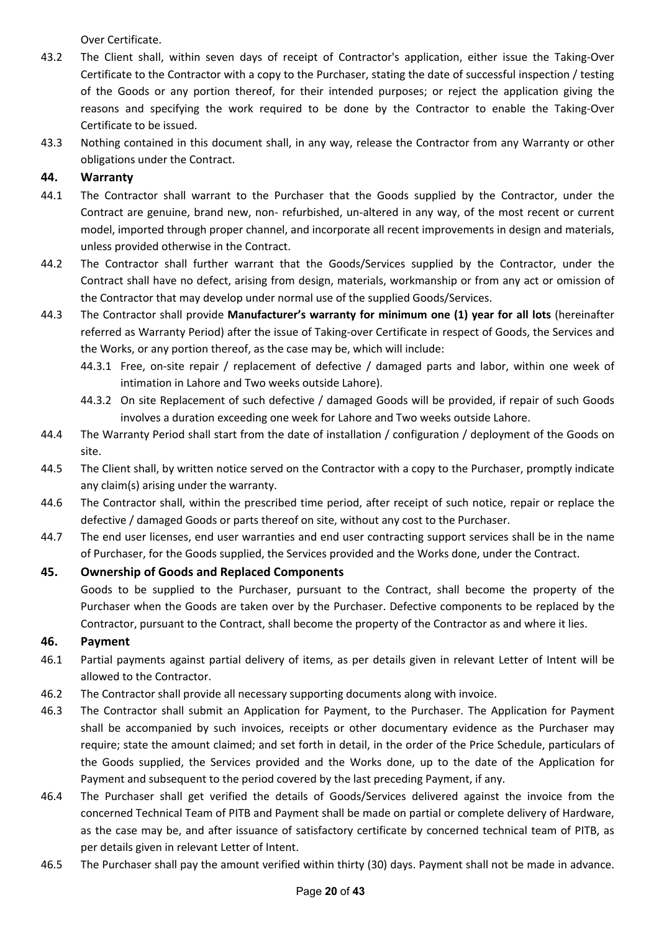Over Certificate.

- 43.2 The Client shall, within seven days of receipt of Contractor's application, either issue the Taking-Over Certificate to the Contractor with a copy to the Purchaser, stating the date of successful inspection / testing of the Goods or any portion thereof, for their intended purposes; or reject the application giving the reasons and specifying the work required to be done by the Contractor to enable the Taking-Over Certificate to be issued.
- 43.3 Nothing contained in this document shall, in any way, release the Contractor from any Warranty or other obligations under the Contract.

## **44. Warranty**

- 44.1 The Contractor shall warrant to the Purchaser that the Goods supplied by the Contractor, under the Contract are genuine, brand new, non- refurbished, un-altered in any way, of the most recent or current model, imported through proper channel, and incorporate all recent improvements in design and materials, unless provided otherwise in the Contract.
- 44.2 The Contractor shall further warrant that the Goods/Services supplied by the Contractor, under the Contract shall have no defect, arising from design, materials, workmanship or from any act or omission of the Contractor that may develop under normal use of the supplied Goods/Services.
- 44.3 The Contractor shall provide **Manufacturer's warranty for minimum one (1) year for all lots** (hereinafter referred as Warranty Period) after the issue of Taking-over Certificate in respect of Goods, the Services and the Works, or any portion thereof, as the case may be, which will include:
	- 44.3.1 Free, on-site repair / replacement of defective / damaged parts and labor, within one week of intimation in Lahore and Two weeks outside Lahore).
	- 44.3.2 On site Replacement of such defective / damaged Goods will be provided, if repair of such Goods involves a duration exceeding one week for Lahore and Two weeks outside Lahore.
- 44.4 The Warranty Period shall start from the date of installation / configuration / deployment of the Goods on site.
- 44.5 The Client shall, by written notice served on the Contractor with a copy to the Purchaser, promptly indicate any claim(s) arising under the warranty.
- 44.6 The Contractor shall, within the prescribed time period, after receipt of such notice, repair or replace the defective / damaged Goods or parts thereof on site, without any cost to the Purchaser.
- 44.7 The end user licenses, end user warranties and end user contracting support services shall be in the name of Purchaser, for the Goods supplied, the Services provided and the Works done, under the Contract.

## **45. Ownership of Goods and Replaced Components**

Goods to be supplied to the Purchaser, pursuant to the Contract, shall become the property of the Purchaser when the Goods are taken over by the Purchaser. Defective components to be replaced by the Contractor, pursuant to the Contract, shall become the property of the Contractor as and where it lies.

## **46. Payment**

- 46.1 Partial payments against partial delivery of items, as per details given in relevant Letter of Intent will be allowed to the Contractor.
- 46.2 The Contractor shall provide all necessary supporting documents along with invoice.
- 46.3 The Contractor shall submit an Application for Payment, to the Purchaser. The Application for Payment shall be accompanied by such invoices, receipts or other documentary evidence as the Purchaser may require; state the amount claimed; and set forth in detail, in the order of the Price Schedule, particulars of the Goods supplied, the Services provided and the Works done, up to the date of the Application for Payment and subsequent to the period covered by the last preceding Payment, if any.
- 46.4 The Purchaser shall get verified the details of Goods/Services delivered against the invoice from the concerned Technical Team of PITB and Payment shall be made on partial or complete delivery of Hardware, as the case may be, and after issuance of satisfactory certificate by concerned technical team of PITB, as per details given in relevant Letter of Intent.
- 46.5 The Purchaser shall pay the amount verified within thirty (30) days. Payment shall not be made in advance.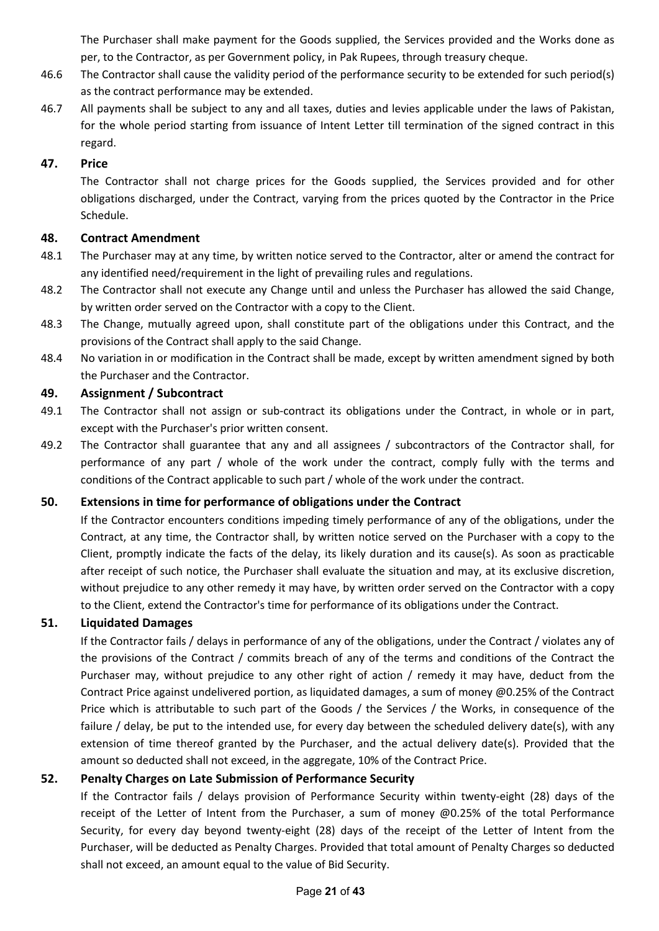The Purchaser shall make payment for the Goods supplied, the Services provided and the Works done as per, to the Contractor, as per Government policy, in Pak Rupees, through treasury cheque.

- 46.6 The Contractor shall cause the validity period of the performance security to be extended for such period(s) as the contract performance may be extended.
- 46.7 All payments shall be subject to any and all taxes, duties and levies applicable under the laws of Pakistan, for the whole period starting from issuance of Intent Letter till termination of the signed contract in this regard.

## **47. Price**

The Contractor shall not charge prices for the Goods supplied, the Services provided and for other obligations discharged, under the Contract, varying from the prices quoted by the Contractor in the Price Schedule.

## **48. Contract Amendment**

- 48.1 The Purchaser may at any time, by written notice served to the Contractor, alter or amend the contract for any identified need/requirement in the light of prevailing rules and regulations.
- 48.2 The Contractor shall not execute any Change until and unless the Purchaser has allowed the said Change, by written order served on the Contractor with a copy to the Client.
- 48.3 The Change, mutually agreed upon, shall constitute part of the obligations under this Contract, and the provisions of the Contract shall apply to the said Change.
- 48.4 No variation in or modification in the Contract shall be made, except by written amendment signed by both the Purchaser and the Contractor.

## **49. Assignment / Subcontract**

- 49.1 The Contractor shall not assign or sub-contract its obligations under the Contract, in whole or in part, except with the Purchaser's prior written consent.
- 49.2 The Contractor shall guarantee that any and all assignees / subcontractors of the Contractor shall, for performance of any part / whole of the work under the contract, comply fully with the terms and conditions of the Contract applicable to such part / whole of the work under the contract.

## **50. Extensions in time for performance of obligations under the Contract**

If the Contractor encounters conditions impeding timely performance of any of the obligations, under the Contract, at any time, the Contractor shall, by written notice served on the Purchaser with a copy to the Client, promptly indicate the facts of the delay, its likely duration and its cause(s). As soon as practicable after receipt of such notice, the Purchaser shall evaluate the situation and may, at its exclusive discretion, without prejudice to any other remedy it may have, by written order served on the Contractor with a copy to the Client, extend the Contractor's time for performance of its obligations under the Contract.

## **51. Liquidated Damages**

If the Contractor fails / delays in performance of any of the obligations, under the Contract / violates any of the provisions of the Contract / commits breach of any of the terms and conditions of the Contract the Purchaser may, without prejudice to any other right of action / remedy it may have, deduct from the Contract Price against undelivered portion, as liquidated damages, a sum of money @0.25% of the Contract Price which is attributable to such part of the Goods / the Services / the Works, in consequence of the failure / delay, be put to the intended use, for every day between the scheduled delivery date(s), with any extension of time thereof granted by the Purchaser, and the actual delivery date(s). Provided that the amount so deducted shall not exceed, in the aggregate, 10% of the Contract Price.

## **52. Penalty Charges on Late Submission of Performance Security**

If the Contractor fails / delays provision of Performance Security within twenty-eight (28) days of the receipt of the Letter of Intent from the Purchaser, a sum of money @0.25% of the total Performance Security, for every day beyond twenty-eight (28) days of the receipt of the Letter of Intent from the Purchaser, will be deducted as Penalty Charges. Provided that total amount of Penalty Charges so deducted shall not exceed, an amount equal to the value of Bid Security.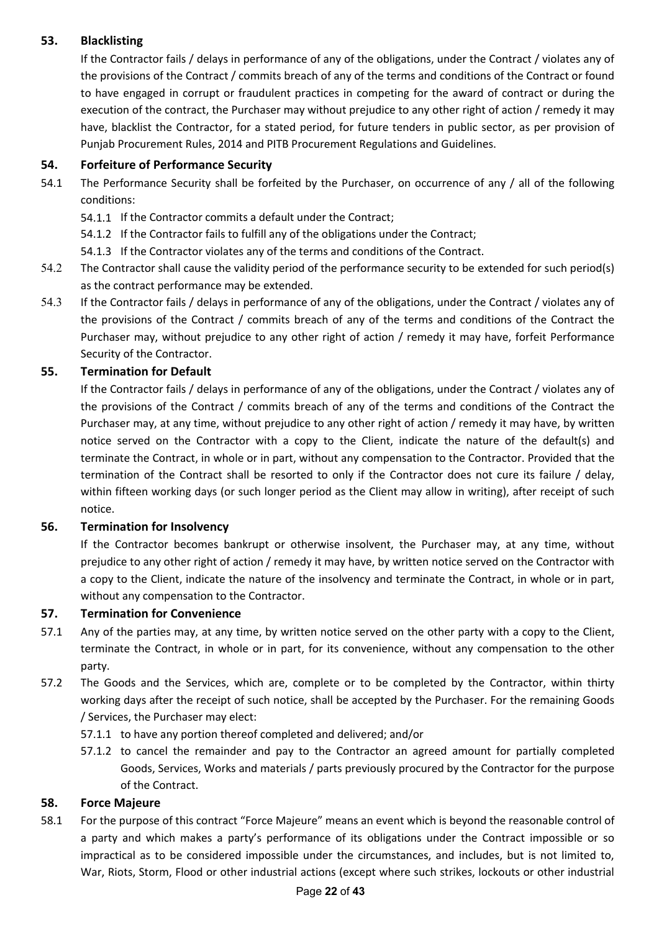## **53. Blacklisting**

If the Contractor fails / delays in performance of any of the obligations, under the Contract / violates any of the provisions of the Contract / commits breach of any of the terms and conditions of the Contract or found to have engaged in corrupt or fraudulent practices in competing for the award of contract or during the execution of the contract, the Purchaser may without prejudice to any other right of action / remedy it may have, blacklist the Contractor, for a stated period, for future tenders in public sector, as per provision of Punjab Procurement Rules, 2014 and PITB Procurement Regulations and Guidelines.

## **54. Forfeiture of Performance Security**

- 54.1 The Performance Security shall be forfeited by the Purchaser, on occurrence of any / all of the following conditions:
	- 54.1.1 If the Contractor commits a default under the Contract;
	- 54.1.2 If the Contractor fails to fulfill any of the obligations under the Contract;
	- 54.1.3 If the Contractor violates any of the terms and conditions of the Contract.
- 54.2 The Contractor shall cause the validity period of the performance security to be extended for such period(s) as the contract performance may be extended.
- 54.3 If the Contractor fails / delays in performance of any of the obligations, under the Contract / violates any of the provisions of the Contract / commits breach of any of the terms and conditions of the Contract the Purchaser may, without prejudice to any other right of action / remedy it may have, forfeit Performance Security of the Contractor.

## **55. Termination for Default**

If the Contractor fails / delays in performance of any of the obligations, under the Contract / violates any of the provisions of the Contract / commits breach of any of the terms and conditions of the Contract the Purchaser may, at any time, without prejudice to any other right of action / remedy it may have, by written notice served on the Contractor with a copy to the Client, indicate the nature of the default(s) and terminate the Contract, in whole or in part, without any compensation to the Contractor. Provided that the termination of the Contract shall be resorted to only if the Contractor does not cure its failure / delay, within fifteen working days (or such longer period as the Client may allow in writing), after receipt of such notice.

## **56. Termination for Insolvency**

If the Contractor becomes bankrupt or otherwise insolvent, the Purchaser may, at any time, without prejudice to any other right of action / remedy it may have, by written notice served on the Contractor with a copy to the Client, indicate the nature of the insolvency and terminate the Contract, in whole or in part, without any compensation to the Contractor.

## **57. Termination for Convenience**

- 57.1 Any of the parties may, at any time, by written notice served on the other party with a copy to the Client, terminate the Contract, in whole or in part, for its convenience, without any compensation to the other party.
- 57.2 The Goods and the Services, which are, complete or to be completed by the Contractor, within thirty working days after the receipt of such notice, shall be accepted by the Purchaser. For the remaining Goods / Services, the Purchaser may elect:
	- 57.1.1 to have any portion thereof completed and delivered; and/or
	- 57.1.2 to cancel the remainder and pay to the Contractor an agreed amount for partially completed Goods, Services, Works and materials / parts previously procured by the Contractor for the purpose of the Contract.

## **58. Force Majeure**

58.1 For the purpose of this contract "Force Majeure" means an event which is beyond the reasonable control of a party and which makes a party's performance of its obligations under the Contract impossible or so impractical as to be considered impossible under the circumstances, and includes, but is not limited to, War, Riots, Storm, Flood or other industrial actions (except where such strikes, lockouts or other industrial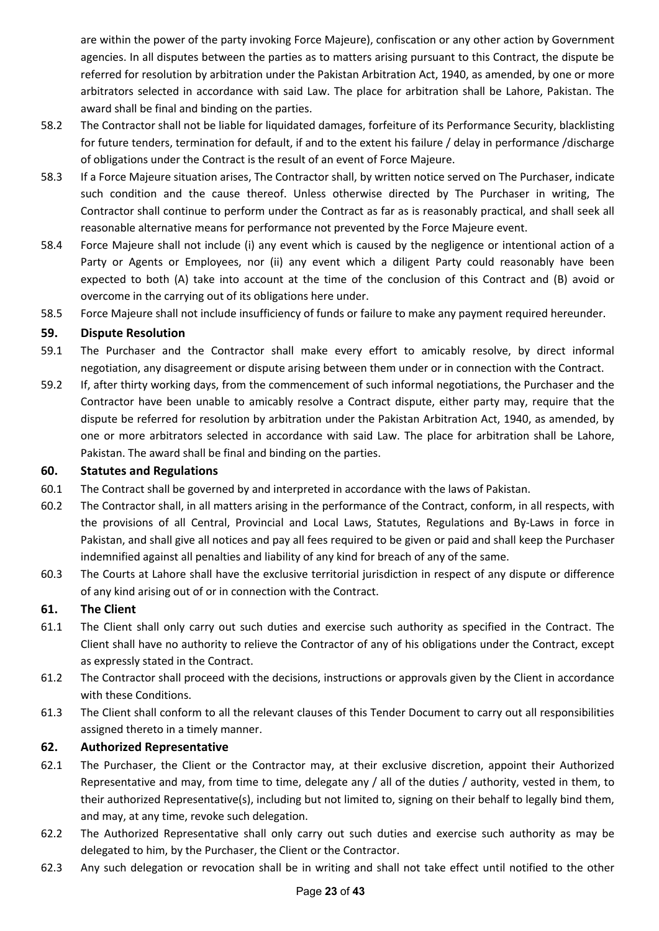are within the power of the party invoking Force Majeure), confiscation or any other action by Government agencies. In all disputes between the parties as to matters arising pursuant to this Contract, the dispute be referred for resolution by arbitration under the Pakistan Arbitration Act, 1940, as amended, by one or more arbitrators selected in accordance with said Law. The place for arbitration shall be Lahore, Pakistan. The award shall be final and binding on the parties.

- 58.2 The Contractor shall not be liable for liquidated damages, forfeiture of its Performance Security, blacklisting for future tenders, termination for default, if and to the extent his failure / delay in performance /discharge of obligations under the Contract is the result of an event of Force Majeure.
- 58.3 If a Force Majeure situation arises, The Contractor shall, by written notice served on The Purchaser, indicate such condition and the cause thereof. Unless otherwise directed by The Purchaser in writing, The Contractor shall continue to perform under the Contract as far as is reasonably practical, and shall seek all reasonable alternative means for performance not prevented by the Force Majeure event.
- 58.4 Force Majeure shall not include (i) any event which is caused by the negligence or intentional action of a Party or Agents or Employees, nor (ii) any event which a diligent Party could reasonably have been expected to both (A) take into account at the time of the conclusion of this Contract and (B) avoid or overcome in the carrying out of its obligations here under.
- 58.5 Force Majeure shall not include insufficiency of funds or failure to make any payment required hereunder.

## **59. Dispute Resolution**

- 59.1 The Purchaser and the Contractor shall make every effort to amicably resolve, by direct informal negotiation, any disagreement or dispute arising between them under or in connection with the Contract.
- 59.2 If, after thirty working days, from the commencement of such informal negotiations, the Purchaser and the Contractor have been unable to amicably resolve a Contract dispute, either party may, require that the dispute be referred for resolution by arbitration under the Pakistan Arbitration Act, 1940, as amended, by one or more arbitrators selected in accordance with said Law. The place for arbitration shall be Lahore, Pakistan. The award shall be final and binding on the parties.

## **60. Statutes and Regulations**

- 60.1 The Contract shall be governed by and interpreted in accordance with the laws of Pakistan.
- 60.2 The Contractor shall, in all matters arising in the performance of the Contract, conform, in all respects, with the provisions of all Central, Provincial and Local Laws, Statutes, Regulations and By-Laws in force in Pakistan, and shall give all notices and pay all fees required to be given or paid and shall keep the Purchaser indemnified against all penalties and liability of any kind for breach of any of the same.
- 60.3 The Courts at Lahore shall have the exclusive territorial jurisdiction in respect of any dispute or difference of any kind arising out of or in connection with the Contract.

## **61. The Client**

- 61.1 The Client shall only carry out such duties and exercise such authority as specified in the Contract. The Client shall have no authority to relieve the Contractor of any of his obligations under the Contract, except as expressly stated in the Contract.
- 61.2 The Contractor shall proceed with the decisions, instructions or approvals given by the Client in accordance with these Conditions.
- 61.3 The Client shall conform to all the relevant clauses of this Tender Document to carry out all responsibilities assigned thereto in a timely manner.

## **62. Authorized Representative**

- 62.1 The Purchaser, the Client or the Contractor may, at their exclusive discretion, appoint their Authorized Representative and may, from time to time, delegate any / all of the duties / authority, vested in them, to their authorized Representative(s), including but not limited to, signing on their behalf to legally bind them, and may, at any time, revoke such delegation.
- 62.2 The Authorized Representative shall only carry out such duties and exercise such authority as may be delegated to him, by the Purchaser, the Client or the Contractor.
- 62.3 Any such delegation or revocation shall be in writing and shall not take effect until notified to the other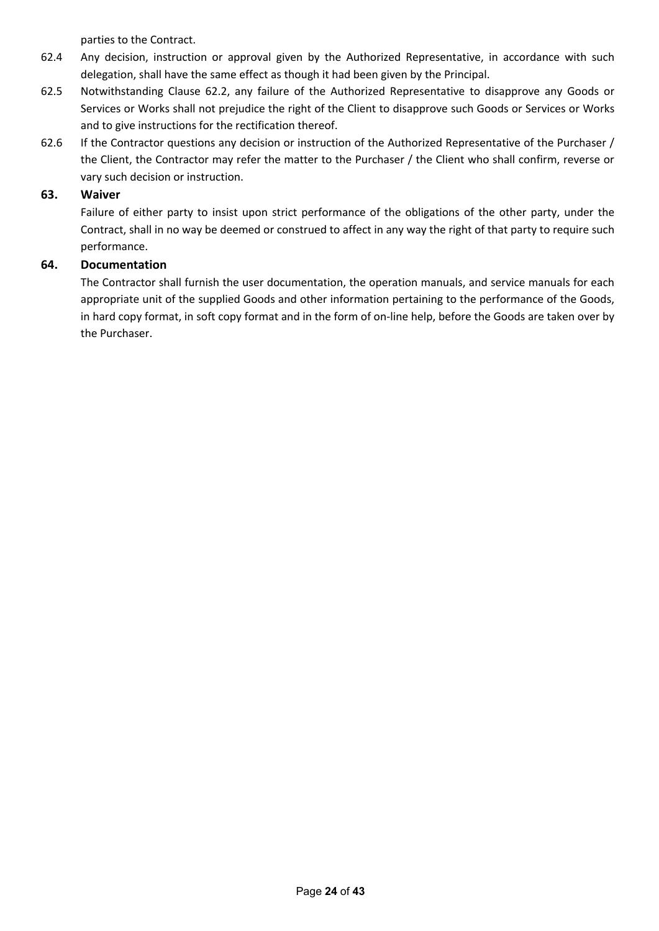parties to the Contract.

- 62.4 Any decision, instruction or approval given by the Authorized Representative, in accordance with such delegation, shall have the same effect as though it had been given by the Principal.
- 62.5 Notwithstanding Clause 62.2, any failure of the Authorized Representative to disapprove any Goods or Services or Works shall not prejudice the right of the Client to disapprove such Goods or Services or Works and to give instructions for the rectification thereof.
- 62.6 If the Contractor questions any decision or instruction of the Authorized Representative of the Purchaser / the Client, the Contractor may refer the matter to the Purchaser / the Client who shall confirm, reverse or vary such decision or instruction.

## **63. Waiver**

Failure of either party to insist upon strict performance of the obligations of the other party, under the Contract, shall in no way be deemed or construed to affect in any way the right of that party to require such performance.

## **64. Documentation**

The Contractor shall furnish the user documentation, the operation manuals, and service manuals for each appropriate unit of the supplied Goods and other information pertaining to the performance of the Goods, in hard copy format, in soft copy format and in the form of on-line help, before the Goods are taken over by the Purchaser.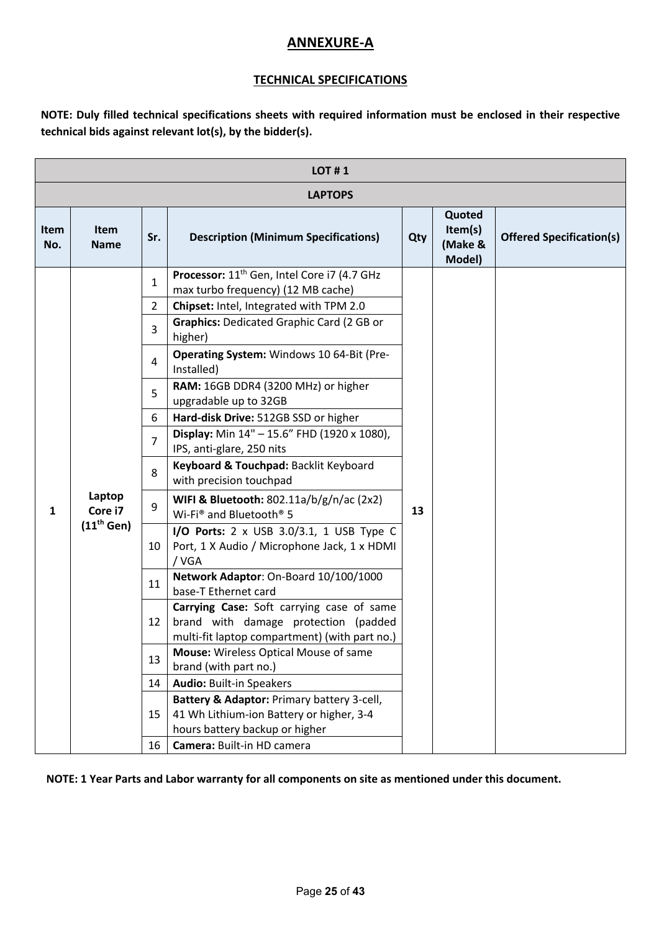# **ANNEXURE-A**

## **TECHNICAL SPECIFICATIONS**

**NOTE: Duly filled technical specifications sheets with required information must be enclosed in their respective technical bids against relevant lot(s), by the bidder(s).**

|             | <b>LOT #1</b>                     |                                                                                                        |                                                                                                                                                                                                                                                                                                                                                                                                                                                                                                                                                                                                                                                                                                                                                                                                                                                                                                                                                                                               |     |                                        |                                 |  |
|-------------|-----------------------------------|--------------------------------------------------------------------------------------------------------|-----------------------------------------------------------------------------------------------------------------------------------------------------------------------------------------------------------------------------------------------------------------------------------------------------------------------------------------------------------------------------------------------------------------------------------------------------------------------------------------------------------------------------------------------------------------------------------------------------------------------------------------------------------------------------------------------------------------------------------------------------------------------------------------------------------------------------------------------------------------------------------------------------------------------------------------------------------------------------------------------|-----|----------------------------------------|---------------------------------|--|
|             | <b>LAPTOPS</b>                    |                                                                                                        |                                                                                                                                                                                                                                                                                                                                                                                                                                                                                                                                                                                                                                                                                                                                                                                                                                                                                                                                                                                               |     |                                        |                                 |  |
| Item<br>No. | Item<br><b>Name</b>               | Sr.                                                                                                    | <b>Description (Minimum Specifications)</b>                                                                                                                                                                                                                                                                                                                                                                                                                                                                                                                                                                                                                                                                                                                                                                                                                                                                                                                                                   | Qty | Quoted<br>Item(s)<br>(Make &<br>Model) | <b>Offered Specification(s)</b> |  |
| 1           | Laptop<br>Core i7<br>$(11th$ Gen) | $\mathbf{1}$<br>$\overline{2}$<br>3<br>4<br>5<br>6<br>$\overline{7}$<br>8<br>9<br>10<br>11<br>12<br>13 | Processor: 11 <sup>th</sup> Gen, Intel Core i7 (4.7 GHz<br>max turbo frequency) (12 MB cache)<br>Chipset: Intel, Integrated with TPM 2.0<br>Graphics: Dedicated Graphic Card (2 GB or<br>higher)<br>Operating System: Windows 10 64-Bit (Pre-<br>Installed)<br>RAM: 16GB DDR4 (3200 MHz) or higher<br>upgradable up to 32GB<br>Hard-disk Drive: 512GB SSD or higher<br><b>Display:</b> Min $14" - 15.6"$ FHD (1920 x 1080),<br>IPS, anti-glare, 250 nits<br>Keyboard & Touchpad: Backlit Keyboard<br>with precision touchpad<br>WIFI & Bluetooth: 802.11a/b/g/n/ac (2x2)<br>Wi-Fi <sup>®</sup> and Bluetooth <sup>®</sup> 5<br>I/O Ports: $2 \times$ USB 3.0/3.1, 1 USB Type C<br>Port, 1 X Audio / Microphone Jack, 1 x HDMI<br>/ VGA<br>Network Adaptor: On-Board 10/100/1000<br>base-T Ethernet card<br>Carrying Case: Soft carrying case of same<br>brand with damage protection (padded<br>multi-fit laptop compartment) (with part no.)<br><b>Mouse:</b> Wireless Optical Mouse of same | 13  |                                        |                                 |  |
|             |                                   | 14                                                                                                     | brand (with part no.)<br><b>Audio: Built-in Speakers</b>                                                                                                                                                                                                                                                                                                                                                                                                                                                                                                                                                                                                                                                                                                                                                                                                                                                                                                                                      |     |                                        |                                 |  |
|             |                                   | 15<br>16                                                                                               | Battery & Adaptor: Primary battery 3-cell,<br>41 Wh Lithium-ion Battery or higher, 3-4<br>hours battery backup or higher<br>Camera: Built-in HD camera                                                                                                                                                                                                                                                                                                                                                                                                                                                                                                                                                                                                                                                                                                                                                                                                                                        |     |                                        |                                 |  |
|             |                                   |                                                                                                        |                                                                                                                                                                                                                                                                                                                                                                                                                                                                                                                                                                                                                                                                                                                                                                                                                                                                                                                                                                                               |     |                                        |                                 |  |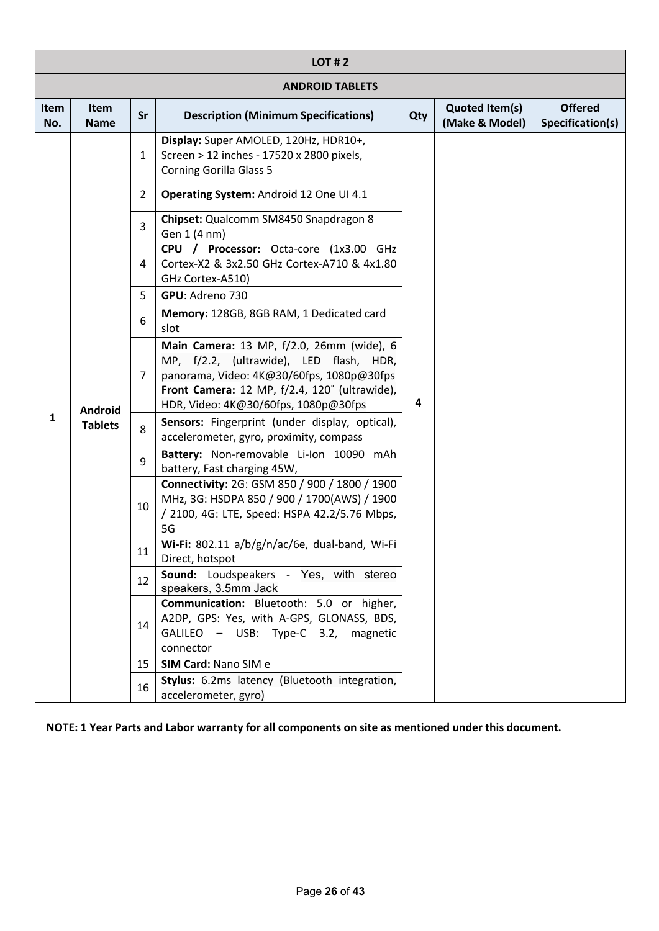|             | <b>LOT #2</b>                                           |    |                                                                                                                                                                                                                            |     |                                         |                                    |  |  |
|-------------|---------------------------------------------------------|----|----------------------------------------------------------------------------------------------------------------------------------------------------------------------------------------------------------------------------|-----|-----------------------------------------|------------------------------------|--|--|
|             | <b>ANDROID TABLETS</b>                                  |    |                                                                                                                                                                                                                            |     |                                         |                                    |  |  |
| Item<br>No. | Item<br><b>Name</b>                                     | Sr | <b>Description (Minimum Specifications)</b>                                                                                                                                                                                | Qty | <b>Quoted Item(s)</b><br>(Make & Model) | <b>Offered</b><br>Specification(s) |  |  |
|             |                                                         | 1  | Display: Super AMOLED, 120Hz, HDR10+,<br>Screen > 12 inches - 17520 x 2800 pixels,<br><b>Corning Gorilla Glass 5</b>                                                                                                       |     |                                         |                                    |  |  |
|             |                                                         | 2  | Operating System: Android 12 One UI 4.1                                                                                                                                                                                    |     |                                         |                                    |  |  |
|             |                                                         | 3  | Chipset: Qualcomm SM8450 Snapdragon 8<br>Gen 1 (4 nm)                                                                                                                                                                      |     |                                         |                                    |  |  |
|             |                                                         | 4  | CPU / Processor: Octa-core (1x3.00 GHz<br>Cortex-X2 & 3x2.50 GHz Cortex-A710 & 4x1.80<br>GHz Cortex-A510)                                                                                                                  |     |                                         |                                    |  |  |
|             |                                                         | 5  | GPU: Adreno 730                                                                                                                                                                                                            |     |                                         |                                    |  |  |
|             |                                                         | 6  | Memory: 128GB, 8GB RAM, 1 Dedicated card<br>slot                                                                                                                                                                           |     |                                         |                                    |  |  |
|             | $\overline{7}$<br><b>Android</b><br><b>Tablets</b><br>8 |    | Main Camera: 13 MP, f/2.0, 26mm (wide), 6<br>MP, f/2.2, (ultrawide), LED flash, HDR,<br>panorama, Video: 4K@30/60fps, 1080p@30fps<br>Front Camera: 12 MP, f/2.4, 120° (ultrawide),<br>HDR, Video: 4K@30/60fps, 1080p@30fps | 4   |                                         |                                    |  |  |
| 1           |                                                         |    | Sensors: Fingerprint (under display, optical),<br>accelerometer, gyro, proximity, compass                                                                                                                                  |     |                                         |                                    |  |  |
|             |                                                         | q  | Battery: Non-removable Li-Ion 10090 mAh<br>battery, Fast charging 45W,                                                                                                                                                     |     |                                         |                                    |  |  |
|             |                                                         | 10 | Connectivity: 2G: GSM 850 / 900 / 1800 / 1900<br>MHz, 3G: HSDPA 850 / 900 / 1700(AWS) / 1900<br>/ 2100, 4G: LTE, Speed: HSPA 42.2/5.76 Mbps,<br>5G                                                                         |     |                                         |                                    |  |  |
|             |                                                         | 11 | Wi-Fi: 802.11 $a/b/g/n/ac/6e$ , dual-band, Wi-Fi<br>Direct, hotspot                                                                                                                                                        |     |                                         |                                    |  |  |
|             |                                                         | 12 | Sound: Loudspeakers - Yes, with stereo<br>speakers, 3.5mm Jack                                                                                                                                                             |     |                                         |                                    |  |  |
|             |                                                         | 14 | Communication: Bluetooth: 5.0 or higher,<br>A2DP, GPS: Yes, with A-GPS, GLONASS, BDS,<br>GALILEO - USB: Type-C 3.2, magnetic<br>connector                                                                                  |     |                                         |                                    |  |  |
|             |                                                         | 15 | SIM Card: Nano SIM e                                                                                                                                                                                                       |     |                                         |                                    |  |  |
|             |                                                         | 16 | Stylus: 6.2ms latency (Bluetooth integration,<br>accelerometer, gyro)                                                                                                                                                      |     |                                         |                                    |  |  |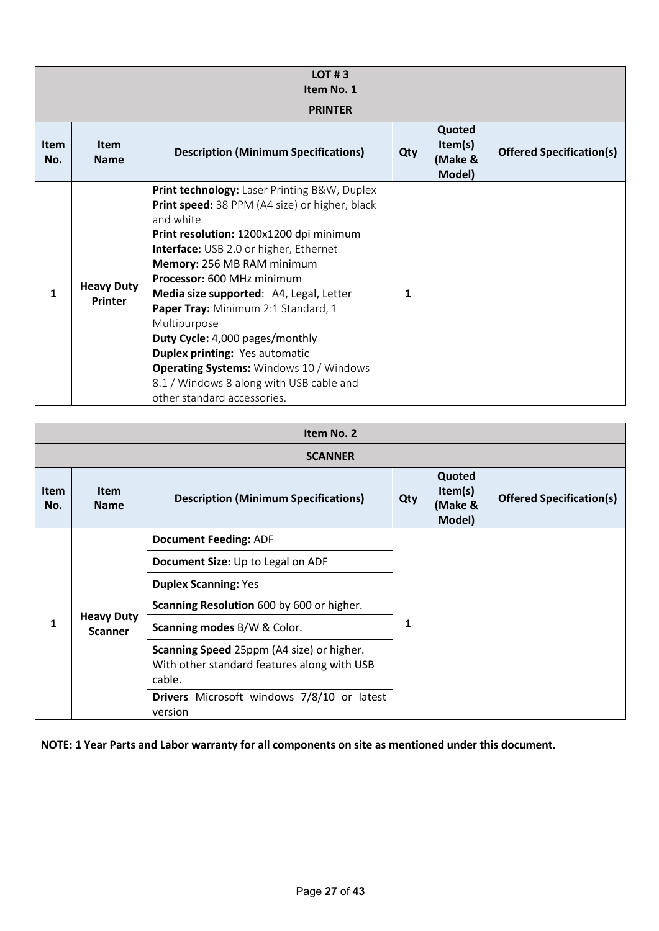|                    | LOT#3                        |                                                                                                                                                                                                                                                                                                                                                                                                                                                                                                                                                                                       |     |                                        |                                 |  |
|--------------------|------------------------------|---------------------------------------------------------------------------------------------------------------------------------------------------------------------------------------------------------------------------------------------------------------------------------------------------------------------------------------------------------------------------------------------------------------------------------------------------------------------------------------------------------------------------------------------------------------------------------------|-----|----------------------------------------|---------------------------------|--|
|                    |                              | Item No. 1                                                                                                                                                                                                                                                                                                                                                                                                                                                                                                                                                                            |     |                                        |                                 |  |
|                    |                              | <b>PRINTER</b>                                                                                                                                                                                                                                                                                                                                                                                                                                                                                                                                                                        |     |                                        |                                 |  |
| <b>Item</b><br>No. | <b>Item</b><br><b>Name</b>   | <b>Description (Minimum Specifications)</b>                                                                                                                                                                                                                                                                                                                                                                                                                                                                                                                                           | Qty | Quoted<br>Item(s)<br>(Make &<br>Model) | <b>Offered Specification(s)</b> |  |
| 1                  | <b>Heavy Duty</b><br>Printer | Print technology: Laser Printing B&W, Duplex<br>Print speed: 38 PPM (A4 size) or higher, black<br>and white<br>Print resolution: 1200x1200 dpi minimum<br><b>Interface:</b> USB 2.0 or higher, Ethernet<br>Memory: 256 MB RAM minimum<br><b>Processor: 600 MHz minimum</b><br>Media size supported: A4, Legal, Letter<br>Paper Tray: Minimum 2:1 Standard, 1<br>Multipurpose<br>Duty Cycle: 4,000 pages/monthly<br><b>Duplex printing: Yes automatic</b><br><b>Operating Systems:</b> Windows 10 / Windows<br>8.1 / Windows 8 along with USB cable and<br>other standard accessories. | 1   |                                        |                                 |  |

|                    | Item No. 2                          |                                                                                                    |     |                                        |                                 |  |
|--------------------|-------------------------------------|----------------------------------------------------------------------------------------------------|-----|----------------------------------------|---------------------------------|--|
|                    |                                     | <b>SCANNER</b>                                                                                     |     |                                        |                                 |  |
| <b>Item</b><br>No. | <b>Item</b><br><b>Name</b>          | <b>Description (Minimum Specifications)</b>                                                        | Qty | Quoted<br>Item(s)<br>(Make &<br>Model) | <b>Offered Specification(s)</b> |  |
|                    |                                     | <b>Document Feeding: ADF</b>                                                                       |     |                                        |                                 |  |
|                    |                                     | Document Size: Up to Legal on ADF                                                                  |     |                                        |                                 |  |
|                    |                                     | <b>Duplex Scanning: Yes</b>                                                                        |     |                                        |                                 |  |
|                    |                                     | Scanning Resolution 600 by 600 or higher.                                                          |     |                                        |                                 |  |
| $\mathbf{1}$       | <b>Heavy Duty</b><br><b>Scanner</b> | Scanning modes B/W & Color.                                                                        | 1   |                                        |                                 |  |
|                    |                                     | Scanning Speed 25ppm (A4 size) or higher.<br>With other standard features along with USB<br>cable. |     |                                        |                                 |  |
|                    |                                     | Drivers Microsoft windows 7/8/10 or latest<br>version                                              |     |                                        |                                 |  |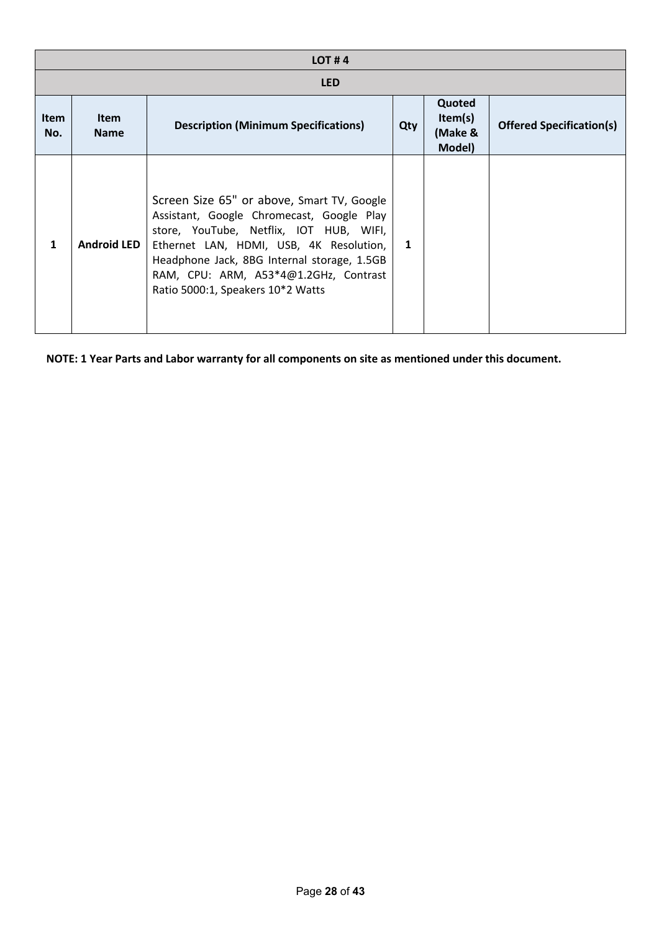| LOT#4              |                            |                                                                                                                                                                                                                                                                                                            |     |                                        |                                 |  |  |
|--------------------|----------------------------|------------------------------------------------------------------------------------------------------------------------------------------------------------------------------------------------------------------------------------------------------------------------------------------------------------|-----|----------------------------------------|---------------------------------|--|--|
|                    | <b>LED</b>                 |                                                                                                                                                                                                                                                                                                            |     |                                        |                                 |  |  |
| <b>Item</b><br>No. | <b>Item</b><br><b>Name</b> | <b>Description (Minimum Specifications)</b>                                                                                                                                                                                                                                                                | Qty | Quoted<br>Item(s)<br>(Make &<br>Model) | <b>Offered Specification(s)</b> |  |  |
| 1                  | <b>Android LED</b>         | Screen Size 65" or above, Smart TV, Google<br>Assistant, Google Chromecast, Google Play<br>store, YouTube, Netflix, IOT HUB, WIFI,<br>Ethernet LAN, HDMI, USB, 4K Resolution,<br>Headphone Jack, 8BG Internal storage, 1.5GB<br>RAM, CPU: ARM, A53*4@1.2GHz, Contrast<br>Ratio 5000:1, Speakers 10*2 Watts | 1   |                                        |                                 |  |  |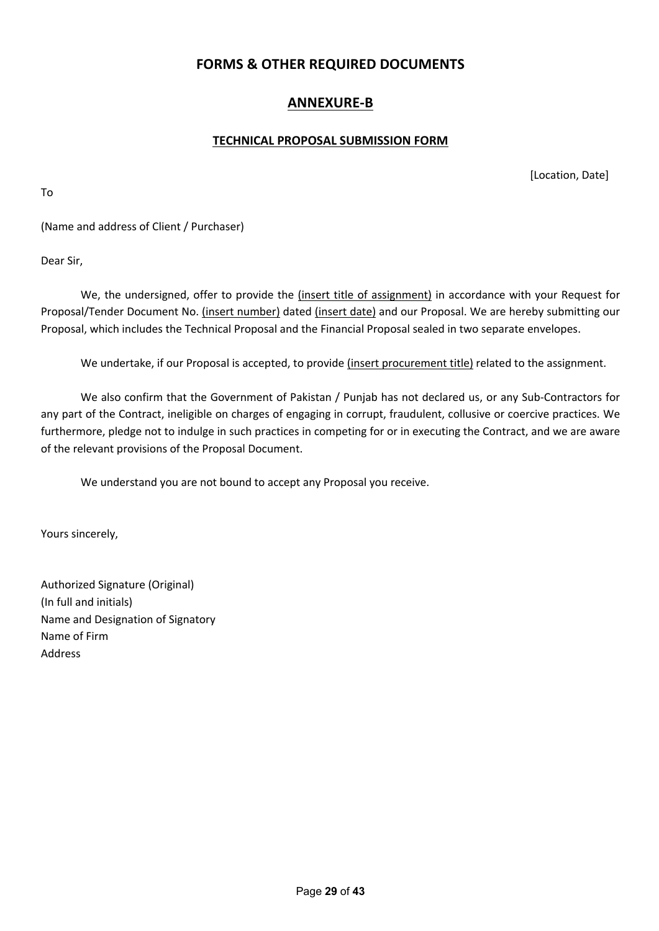# **FORMS & OTHER REQUIRED DOCUMENTS**

# **ANNEXURE-B**

## **TECHNICAL PROPOSAL SUBMISSION FORM**

[Location, Date]

To

(Name and address of Client / Purchaser)

Dear Sir,

We, the undersigned, offer to provide the *linsert title of assignment*) in accordance with your Request for Proposal/Tender Document No. (insert number) dated (insert date) and our Proposal. We are hereby submitting our Proposal, which includes the Technical Proposal and the Financial Proposal sealed in two separate envelopes.

We undertake, if our Proposal is accepted, to provide *linsert procurement title*) related to the assignment.

We also confirm that the Government of Pakistan / Punjab has not declared us, or any Sub-Contractors for any part of the Contract, ineligible on charges of engaging in corrupt, fraudulent, collusive or coercive practices. We furthermore, pledge not to indulge in such practices in competing for or in executing the Contract, and we are aware of the relevant provisions of the Proposal Document.

We understand you are not bound to accept any Proposal you receive.

Yours sincerely,

Authorized Signature (Original) (In full and initials) Name and Designation of Signatory Name of Firm Address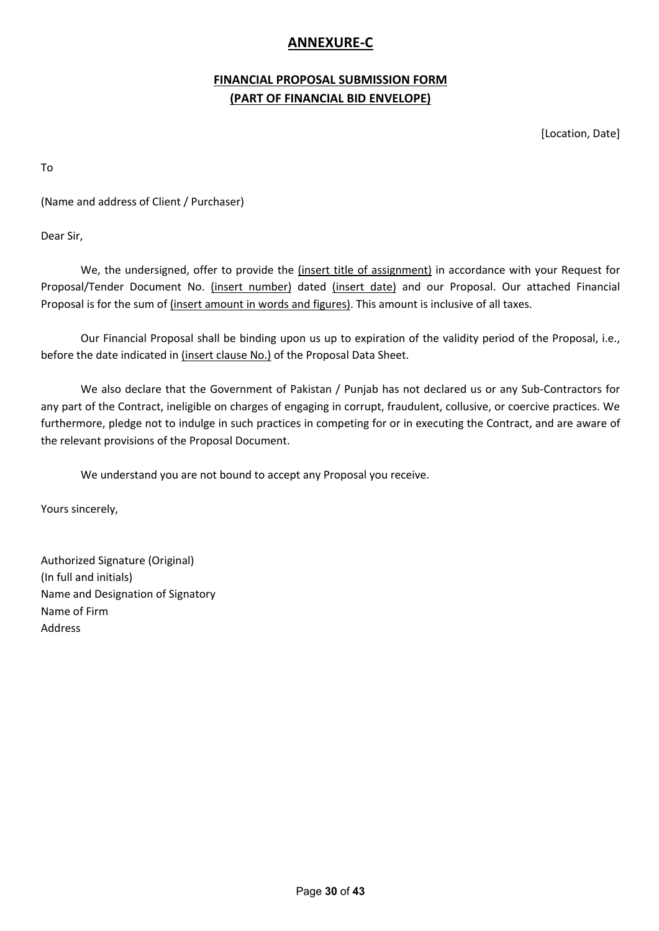# **ANNEXURE-C**

# **FINANCIAL PROPOSAL SUBMISSION FORM (PART OF FINANCIAL BID ENVELOPE)**

[Location, Date]

To

(Name and address of Client / Purchaser)

Dear Sir,

We, the undersigned, offer to provide the (insert title of assignment) in accordance with your Request for Proposal/Tender Document No. (insert number) dated (insert date) and our Proposal. Our attached Financial Proposal is for the sum of (insert amount in words and figures). This amount is inclusive of all taxes.

Our Financial Proposal shall be binding upon us up to expiration of the validity period of the Proposal, i.e., before the date indicated in (insert clause No.) of the Proposal Data Sheet.

We also declare that the Government of Pakistan / Punjab has not declared us or any Sub-Contractors for any part of the Contract, ineligible on charges of engaging in corrupt, fraudulent, collusive, or coercive practices. We furthermore, pledge not to indulge in such practices in competing for or in executing the Contract, and are aware of the relevant provisions of the Proposal Document.

We understand you are not bound to accept any Proposal you receive.

Yours sincerely,

Authorized Signature (Original) (In full and initials) Name and Designation of Signatory Name of Firm Address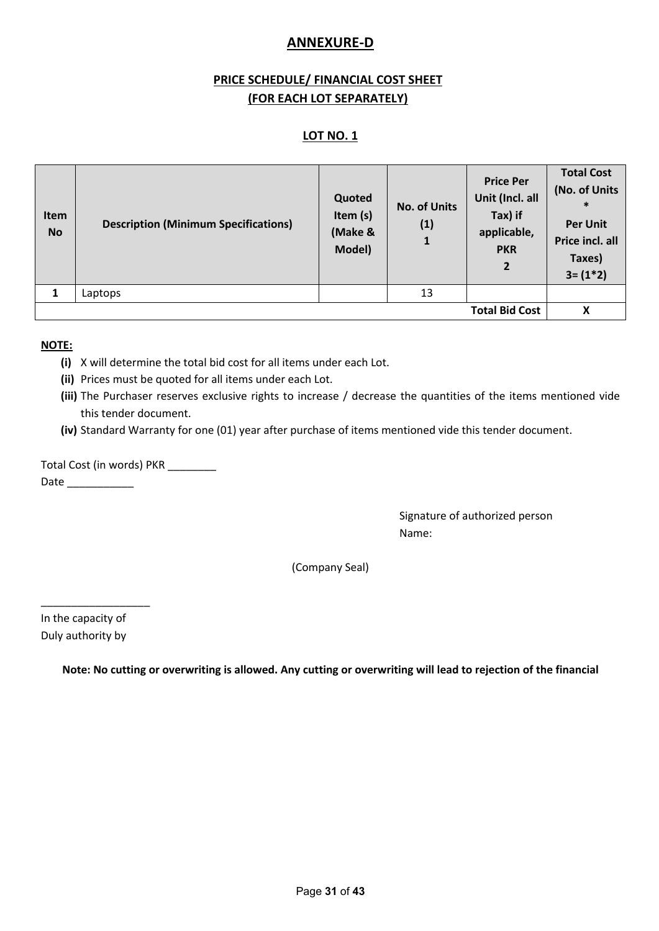# **ANNEXURE-D**

# **PRICE SCHEDULE/ FINANCIAL COST SHEET (FOR EACH LOT SEPARATELY)**

## **LOT NO. 1**

| Item<br><b>No</b>     | <b>Description (Minimum Specifications)</b> | Quoted<br>Item (s)<br>(Make &<br>Model) | <b>No. of Units</b><br>(1)<br>$\mathbf{1}$ | <b>Price Per</b><br>Unit (Incl. all<br>Tax) if<br>applicable,<br><b>PKR</b><br>$\overline{2}$ | <b>Total Cost</b><br>(No. of Units<br>$\ast$<br><b>Per Unit</b><br>Price incl. all<br>Taxes)<br>$3 = (1 * 2)$ |
|-----------------------|---------------------------------------------|-----------------------------------------|--------------------------------------------|-----------------------------------------------------------------------------------------------|---------------------------------------------------------------------------------------------------------------|
|                       | Laptops                                     |                                         | 13                                         |                                                                                               |                                                                                                               |
| <b>Total Bid Cost</b> |                                             |                                         |                                            |                                                                                               | X                                                                                                             |

#### **NOTE:**

- **(i)** X will determine the total bid cost for all items under each Lot.
- **(ii)** Prices must be quoted for all items under each Lot.
- **(iii)** The Purchaser reserves exclusive rights to increase / decrease the quantities of the items mentioned vide this tender document.
- **(iv)** Standard Warranty for one (01) year after purchase of items mentioned vide this tender document.

Total Cost (in words) PKR

Date \_\_\_\_\_\_\_\_\_\_\_

Signature of authorized person Name:

(Company Seal)

In the capacity of Duly authority by

\_\_\_\_\_\_\_\_\_\_\_\_\_\_\_\_\_\_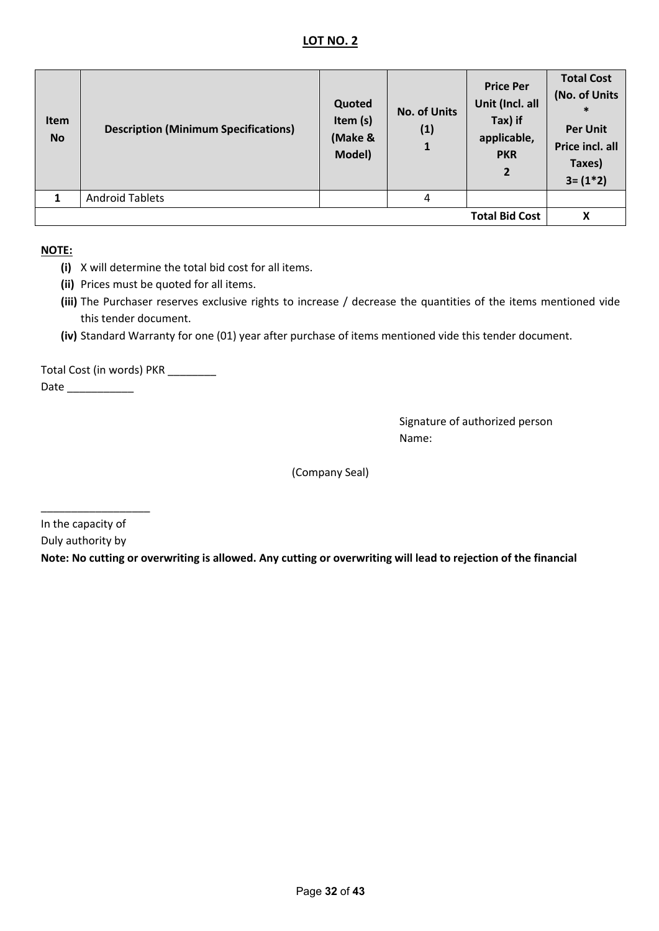## **LOT NO. 2**

| Item<br><b>No</b>     | <b>Description (Minimum Specifications)</b> | Quoted<br>Item (s)<br>(Make &<br>Model) | <b>No. of Units</b><br>(1)<br>1 | <b>Price Per</b><br>Unit (Incl. all<br>Tax) if<br>applicable,<br><b>PKR</b><br>$\overline{2}$ | <b>Total Cost</b><br>(No. of Units<br>$\ast$<br><b>Per Unit</b><br>Price incl. all<br>Taxes)<br>$3 = (1 * 2)$ |
|-----------------------|---------------------------------------------|-----------------------------------------|---------------------------------|-----------------------------------------------------------------------------------------------|---------------------------------------------------------------------------------------------------------------|
| 1                     | <b>Android Tablets</b>                      |                                         | 4                               |                                                                                               |                                                                                                               |
| <b>Total Bid Cost</b> |                                             |                                         |                                 |                                                                                               | X                                                                                                             |

**NOTE:**

- **(i)** X will determine the total bid cost for all items.
- **(ii)** Prices must be quoted for all items.
- **(iii)** The Purchaser reserves exclusive rights to increase / decrease the quantities of the items mentioned vide this tender document.
- **(iv)** Standard Warranty for one (01) year after purchase of items mentioned vide this tender document.

Total Cost (in words) PKR \_\_\_\_\_\_\_\_

Date \_\_\_\_\_\_\_\_\_\_\_

Signature of authorized person Name:

(Company Seal)

In the capacity of

\_\_\_\_\_\_\_\_\_\_\_\_\_\_\_\_\_\_

Duly authority by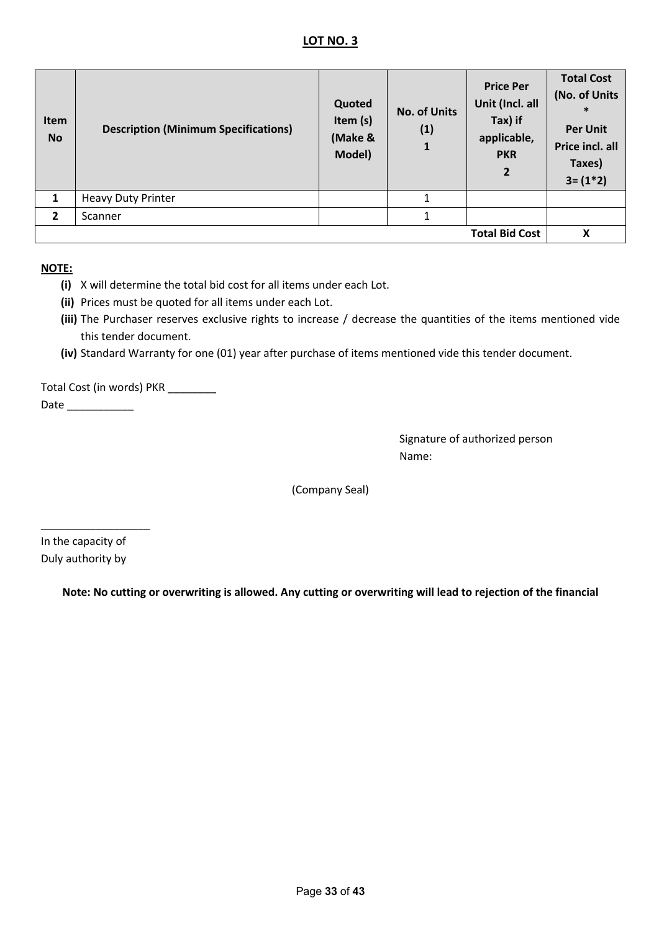## **LOT NO. 3**

| Item<br><b>No</b>     | <b>Description (Minimum Specifications)</b> | Quoted<br>Item $(s)$<br>(Make &<br>Model) | <b>No. of Units</b><br>(1)<br>1 | <b>Price Per</b><br>Unit (Incl. all<br>Tax) if<br>applicable,<br><b>PKR</b><br>$\overline{2}$ | <b>Total Cost</b><br>(No. of Units<br>$\ast$<br><b>Per Unit</b><br>Price incl. all<br>Taxes)<br>$3 = (1 * 2)$ |
|-----------------------|---------------------------------------------|-------------------------------------------|---------------------------------|-----------------------------------------------------------------------------------------------|---------------------------------------------------------------------------------------------------------------|
| $\mathbf{1}$          | <b>Heavy Duty Printer</b>                   |                                           |                                 |                                                                                               |                                                                                                               |
| $\overline{2}$        | Scanner                                     |                                           |                                 |                                                                                               |                                                                                                               |
| <b>Total Bid Cost</b> |                                             |                                           |                                 |                                                                                               | X                                                                                                             |

#### **NOTE:**

- **(i)** X will determine the total bid cost for all items under each Lot.
- **(ii)** Prices must be quoted for all items under each Lot.
- **(iii)** The Purchaser reserves exclusive rights to increase / decrease the quantities of the items mentioned vide this tender document.
- **(iv)** Standard Warranty for one (01) year after purchase of items mentioned vide this tender document.

Total Cost (in words) PKR \_\_\_\_\_\_\_\_

Date  $\qquad \qquad$ 

Signature of authorized person Name:

(Company Seal)

In the capacity of Duly authority by

\_\_\_\_\_\_\_\_\_\_\_\_\_\_\_\_\_\_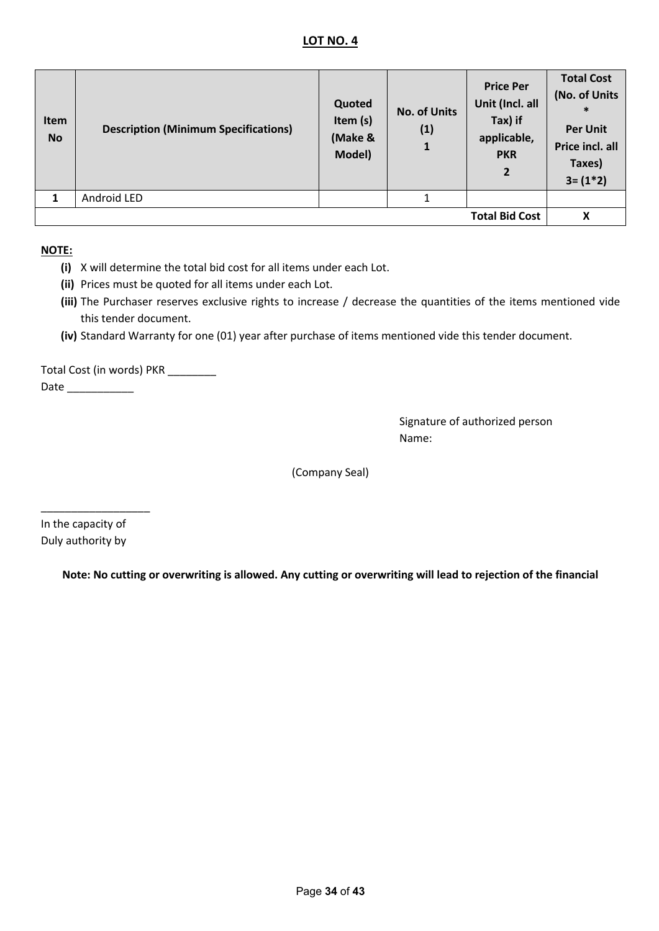## **LOT NO. 4**

| Item<br><b>No</b> | <b>Description (Minimum Specifications)</b> | Quoted<br>Item (s)<br>(Make &<br>Model) | <b>No. of Units</b><br>(1)<br>1 | <b>Price Per</b><br>Unit (Incl. all<br>Tax) if<br>applicable,<br><b>PKR</b><br>$\overline{2}$ | <b>Total Cost</b><br>(No. of Units<br>$\ast$<br><b>Per Unit</b><br>Price incl. all<br>Taxes)<br>$3 = (1 * 2)$ |  |
|-------------------|---------------------------------------------|-----------------------------------------|---------------------------------|-----------------------------------------------------------------------------------------------|---------------------------------------------------------------------------------------------------------------|--|
| 1                 | Android LED                                 |                                         |                                 |                                                                                               |                                                                                                               |  |
|                   |                                             | <b>Total Bid Cost</b>                   |                                 |                                                                                               |                                                                                                               |  |

**NOTE:**

- **(i)** X will determine the total bid cost for all items under each Lot.
- **(ii)** Prices must be quoted for all items under each Lot.
- **(iii)** The Purchaser reserves exclusive rights to increase / decrease the quantities of the items mentioned vide this tender document.
- **(iv)** Standard Warranty for one (01) year after purchase of items mentioned vide this tender document.

Total Cost (in words) PKR \_\_\_\_\_\_\_\_

Date \_\_\_\_\_\_\_\_\_\_\_

Signature of authorized person Name:

(Company Seal)

In the capacity of Duly authority by

\_\_\_\_\_\_\_\_\_\_\_\_\_\_\_\_\_\_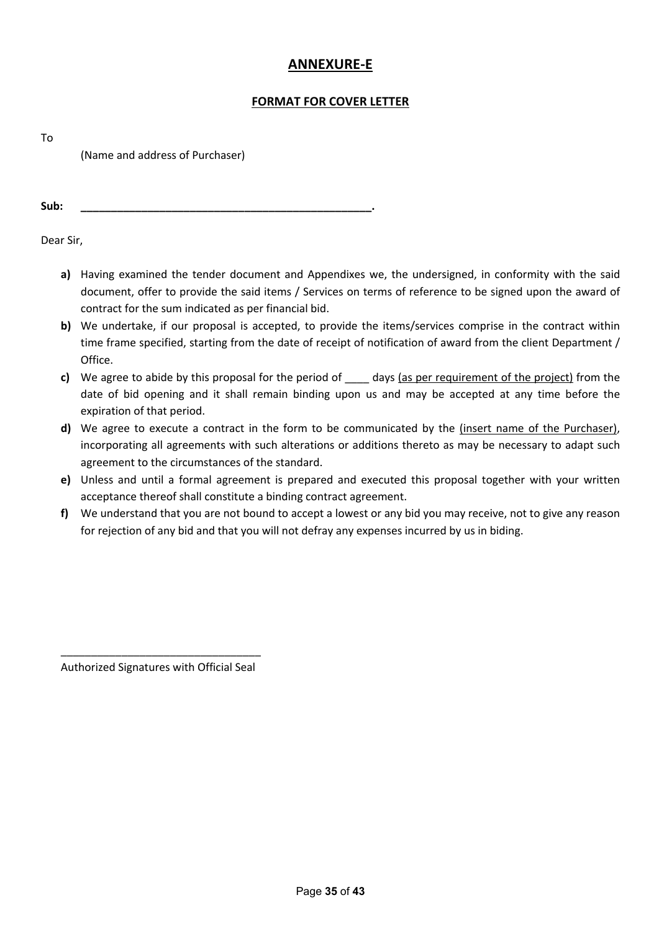# **ANNEXURE-E**

# **FORMAT FOR COVER LETTER**

To

(Name and address of Purchaser)

**Sub: \_\_\_\_\_\_\_\_\_\_\_\_\_\_\_\_\_\_\_\_\_\_\_\_\_\_\_\_\_\_\_\_\_\_\_\_\_\_\_\_\_\_\_\_\_\_\_\_.** 

Dear Sir,

- **a)** Having examined the tender document and Appendixes we, the undersigned, in conformity with the said document, offer to provide the said items / Services on terms of reference to be signed upon the award of contract for the sum indicated as per financial bid.
- **b)** We undertake, if our proposal is accepted, to provide the items/services comprise in the contract within time frame specified, starting from the date of receipt of notification of award from the client Department / Office.
- **c)** We agree to abide by this proposal for the period of \_\_\_\_ days (as per requirement of the project) from the date of bid opening and it shall remain binding upon us and may be accepted at any time before the expiration of that period.
- **d)** We agree to execute a contract in the form to be communicated by the (insert name of the Purchaser), incorporating all agreements with such alterations or additions thereto as may be necessary to adapt such agreement to the circumstances of the standard.
- **e)** Unless and until a formal agreement is prepared and executed this proposal together with your written acceptance thereof shall constitute a binding contract agreement.
- **f)** We understand that you are not bound to accept a lowest or any bid you may receive, not to give any reason for rejection of any bid and that you will not defray any expenses incurred by us in biding.

\_\_\_\_\_\_\_\_\_\_\_\_\_\_\_\_\_\_\_\_\_\_\_\_\_\_\_\_\_\_\_\_\_ Authorized Signatures with Official Seal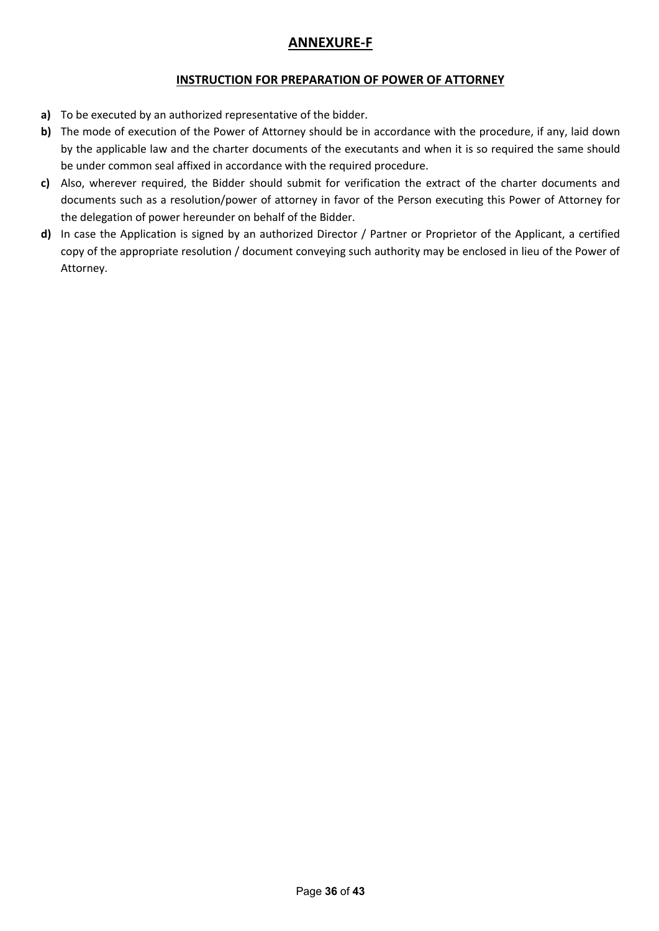# **ANNEXURE-F**

## **INSTRUCTION FOR PREPARATION OF POWER OF ATTORNEY**

- **a)** To be executed by an authorized representative of the bidder.
- **b)** The mode of execution of the Power of Attorney should be in accordance with the procedure, if any, laid down by the applicable law and the charter documents of the executants and when it is so required the same should be under common seal affixed in accordance with the required procedure.
- **c)** Also, wherever required, the Bidder should submit for verification the extract of the charter documents and documents such as a resolution/power of attorney in favor of the Person executing this Power of Attorney for the delegation of power hereunder on behalf of the Bidder.
- **d)** In case the Application is signed by an authorized Director / Partner or Proprietor of the Applicant, a certified copy of the appropriate resolution / document conveying such authority may be enclosed in lieu of the Power of Attorney.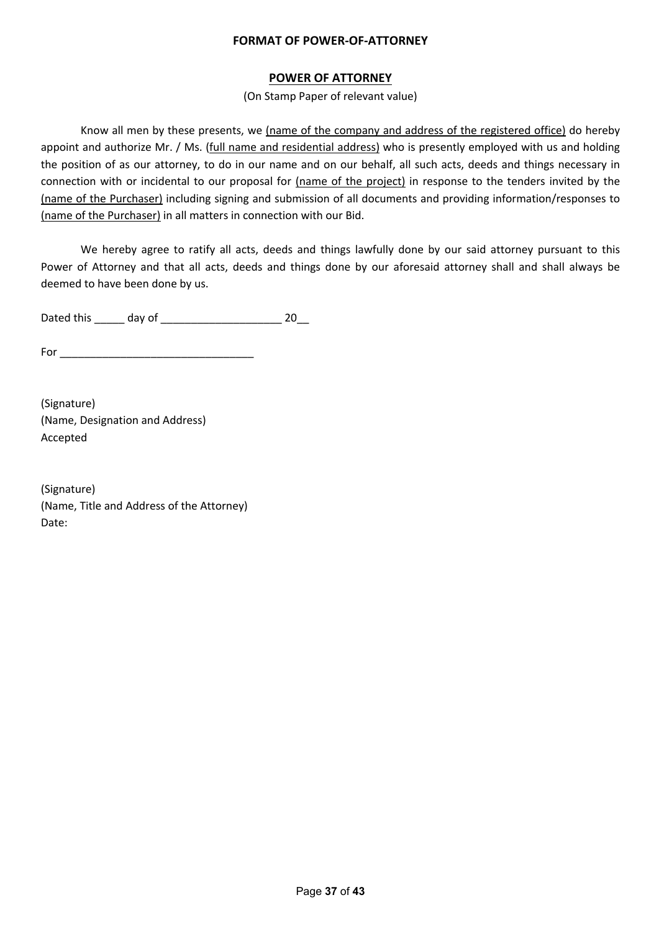#### **FORMAT OF POWER-OF-ATTORNEY**

## **POWER OF ATTORNEY**

(On Stamp Paper of relevant value)

Know all men by these presents, we (name of the company and address of the registered office) do hereby appoint and authorize Mr. / Ms. (full name and residential address) who is presently employed with us and holding the position of as our attorney, to do in our name and on our behalf, all such acts, deeds and things necessary in connection with or incidental to our proposal for (name of the project) in response to the tenders invited by the (name of the Purchaser) including signing and submission of all documents and providing information/responses to (name of the Purchaser) in all matters in connection with our Bid.

We hereby agree to ratify all acts, deeds and things lawfully done by our said attorney pursuant to this Power of Attorney and that all acts, deeds and things done by our aforesaid attorney shall and shall always be deemed to have been done by us.

Dated this \_\_\_\_\_ day of \_\_\_\_\_\_\_\_\_\_\_\_\_\_\_\_\_\_\_\_ 20\_\_

 $For \qquad \qquad$ 

(Signature) (Name, Designation and Address) Accepted

(Signature) (Name, Title and Address of the Attorney) Date: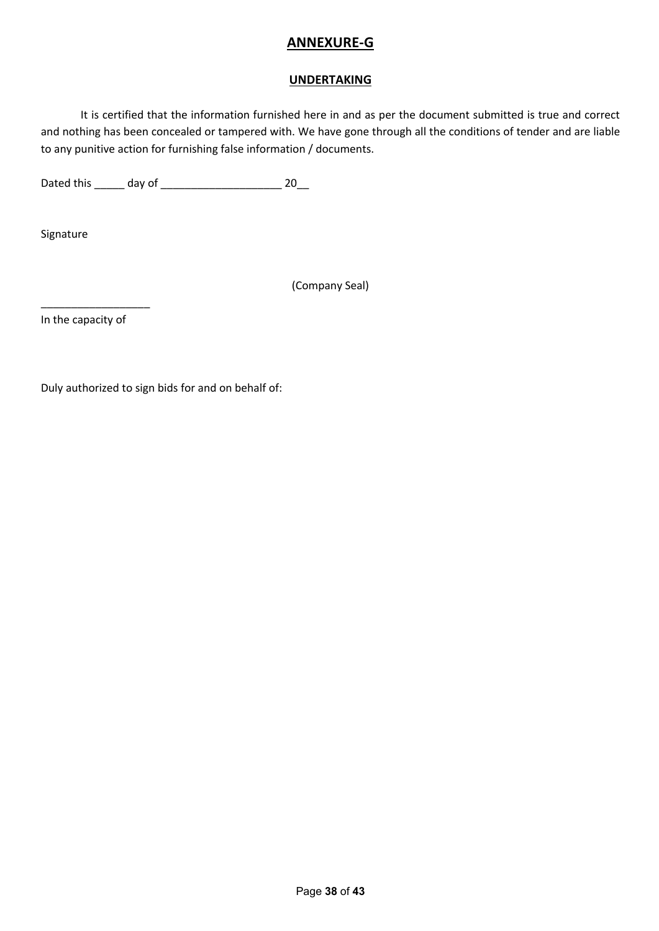# **ANNEXURE-G**

## **UNDERTAKING**

It is certified that the information furnished here in and as per the document submitted is true and correct and nothing has been concealed or tampered with. We have gone through all the conditions of tender and are liable to any punitive action for furnishing false information / documents.

Dated this \_\_\_\_\_ day of \_\_\_\_\_\_\_\_\_\_\_\_\_\_\_\_\_\_\_\_ 20\_\_

Signature

(Company Seal)

In the capacity of

\_\_\_\_\_\_\_\_\_\_\_\_\_\_\_\_\_\_

Duly authorized to sign bids for and on behalf of: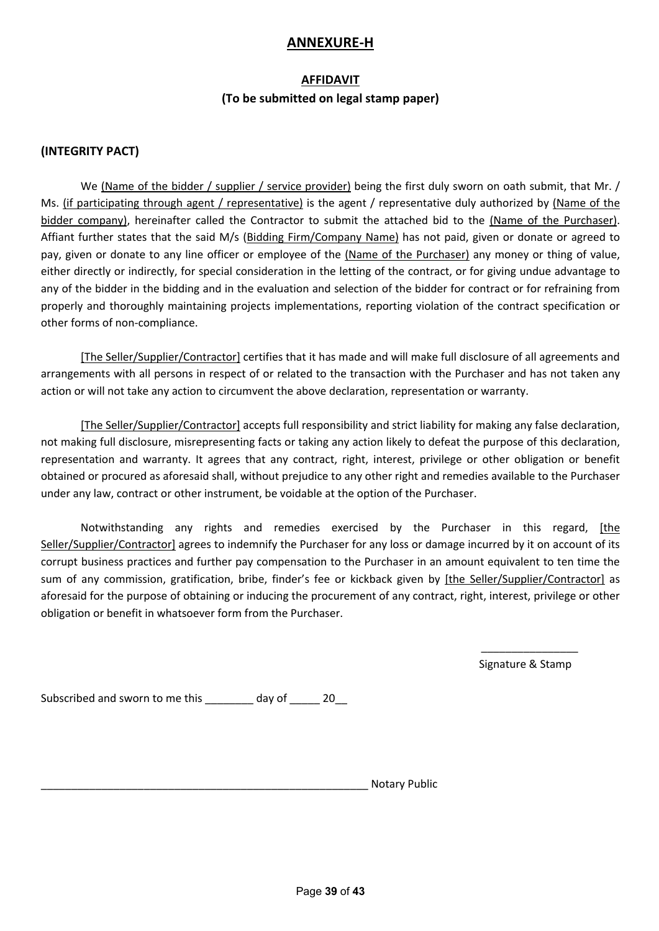# **ANNEXURE-H**

# **AFFIDAVIT (To be submitted on legal stamp paper)**

## **(INTEGRITY PACT)**

We (Name of the bidder / supplier / service provider) being the first duly sworn on oath submit, that Mr. / Ms. (if participating through agent / representative) is the agent / representative duly authorized by (Name of the bidder company), hereinafter called the Contractor to submit the attached bid to the (Name of the Purchaser). Affiant further states that the said M/s (Bidding Firm/Company Name) has not paid, given or donate or agreed to pay, given or donate to any line officer or employee of the (Name of the Purchaser) any money or thing of value, either directly or indirectly, for special consideration in the letting of the contract, or for giving undue advantage to any of the bidder in the bidding and in the evaluation and selection of the bidder for contract or for refraining from properly and thoroughly maintaining projects implementations, reporting violation of the contract specification or other forms of non-compliance.

[The Seller/Supplier/Contractor] certifies that it has made and will make full disclosure of all agreements and arrangements with all persons in respect of or related to the transaction with the Purchaser and has not taken any action or will not take any action to circumvent the above declaration, representation or warranty.

[The Seller/Supplier/Contractor] accepts full responsibility and strict liability for making any false declaration, not making full disclosure, misrepresenting facts or taking any action likely to defeat the purpose of this declaration, representation and warranty. It agrees that any contract, right, interest, privilege or other obligation or benefit obtained or procured as aforesaid shall, without prejudice to any other right and remedies available to the Purchaser under any law, contract or other instrument, be voidable at the option of the Purchaser.

Notwithstanding any rights and remedies exercised by the Purchaser in this regard, [the Seller/Supplier/Contractor] agrees to indemnify the Purchaser for any loss or damage incurred by it on account of its corrupt business practices and further pay compensation to the Purchaser in an amount equivalent to ten time the sum of any commission, gratification, bribe, finder's fee or kickback given by [the Seller/Supplier/Contractor] as aforesaid for the purpose of obtaining or inducing the procurement of any contract, right, interest, privilege or other obligation or benefit in whatsoever form from the Purchaser.

> $\overline{\phantom{a}}$  ,  $\overline{\phantom{a}}$  ,  $\overline{\phantom{a}}$  ,  $\overline{\phantom{a}}$  ,  $\overline{\phantom{a}}$  ,  $\overline{\phantom{a}}$  ,  $\overline{\phantom{a}}$  ,  $\overline{\phantom{a}}$  ,  $\overline{\phantom{a}}$  ,  $\overline{\phantom{a}}$  ,  $\overline{\phantom{a}}$  ,  $\overline{\phantom{a}}$  ,  $\overline{\phantom{a}}$  ,  $\overline{\phantom{a}}$  ,  $\overline{\phantom{a}}$  ,  $\overline{\phantom{a}}$ Signature & Stamp

Subscribed and sworn to me this \_\_\_\_\_\_\_ day of \_\_\_\_\_ 20\_

Notary Public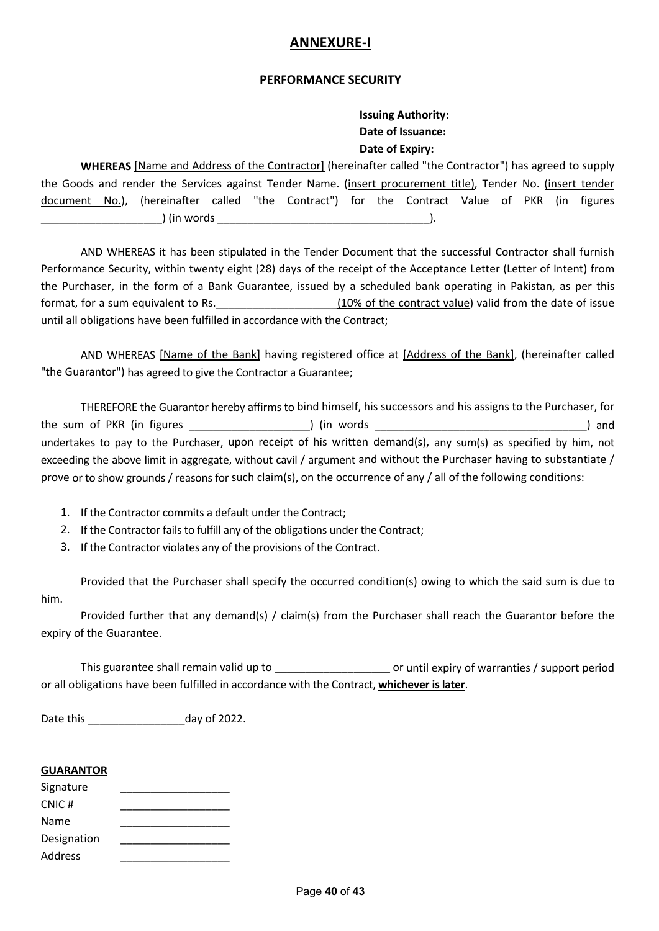# **ANNEXURE-I**

#### **PERFORMANCE SECURITY**

## **Issuing Authority: Date of Issuance: Date of Expiry:**

**WHEREAS** [Name and Address of the Contractor] (hereinafter called "the Contractor") has agreed to supply the Goods and render the Services against Tender Name. (insert procurement title), Tender No. (insert tender document No.), (hereinafter called "the Contract") for the Contract Value of PKR (in figures  $\sum_{i=1}^{n}$  (in words  $\sum_{i=1}^{n}$  ).

AND WHEREAS it has been stipulated in the Tender Document that the successful Contractor shall furnish Performance Security, within twenty eight (28) days of the receipt of the Acceptance Letter (Letter of Intent) from the Purchaser, in the form of a Bank Guarantee, issued by a scheduled bank operating in Pakistan, as per this format, for a sum equivalent to Rs.  $(10\%$  of the contract value) valid from the date of issue until all obligations have been fulfilled in accordance with the Contract;

AND WHEREAS [Name of the Bank] having registered office at [Address of the Bank], (hereinafter called "the Guarantor") has agreed to give the Contractor a Guarantee;

THEREFORE the Guarantor hereby affirms to bind himself, his successors and his assigns to the Purchaser, for the sum of PKR (in figures \_\_\_\_\_\_\_\_\_\_\_\_\_\_\_\_\_\_\_\_) (in words \_\_\_\_\_\_\_\_\_\_\_\_\_\_\_\_\_\_\_\_\_\_\_\_\_\_\_\_\_\_\_\_\_\_\_) and undertakes to pay to the Purchaser, upon receipt of his written demand(s), any sum(s) as specified by him, not exceeding the above limit in aggregate, without cavil / argument and without the Purchaser having to substantiate / prove or to show grounds / reasons for such claim(s), on the occurrence of any / all of the following conditions:

- 1. If the Contractor commits a default under the Contract;
- 2. If the Contractor fails to fulfill any of the obligations under the Contract;
- 3. If the Contractor violates any of the provisions of the Contract.

Provided that the Purchaser shall specify the occurred condition(s) owing to which the said sum is due to him.

Provided further that any demand(s) / claim(s) from the Purchaser shall reach the Guarantor before the expiry of the Guarantee.

This guarantee shall remain valid up to \_\_\_\_\_\_\_\_\_\_\_\_\_\_\_\_\_\_\_\_\_\_\_\_\_ or until expiry of warranties / support period or all obligations have been fulfilled in accordance with the Contract, **whichever is later**.

| Date this | day of 2022. |
|-----------|--------------|
|-----------|--------------|

#### **GUARANTOR**

| Signature   |  |
|-------------|--|
| CNIC#       |  |
| Name        |  |
| Designation |  |
| Address     |  |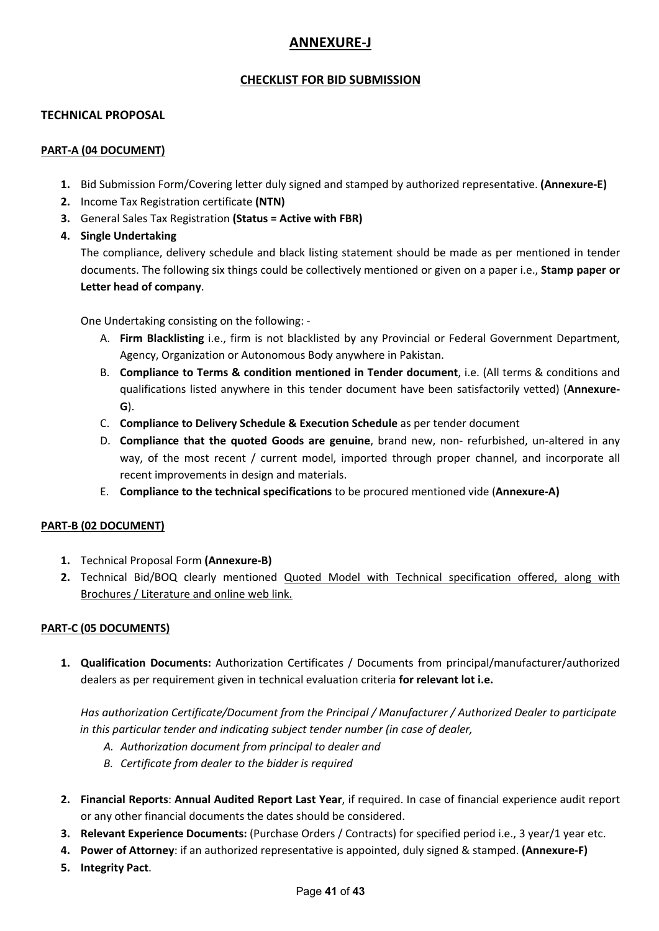# **ANNEXURE-J**

## **CHECKLIST FOR BID SUBMISSION**

### **TECHNICAL PROPOSAL**

#### **PART-A (04 DOCUMENT)**

- **1.** Bid Submission Form/Covering letter duly signed and stamped by authorized representative. **(Annexure-E)**
- **2.** Income Tax Registration certificate **(NTN)**
- **3.** General Sales Tax Registration **(Status = Active with FBR)**
- **4. Single Undertaking**

The compliance, delivery schedule and black listing statement should be made as per mentioned in tender documents. The following six things could be collectively mentioned or given on a paper i.e., **Stamp paper or Letter head of company**.

One Undertaking consisting on the following: -

- A. **Firm Blacklisting** i.e., firm is not blacklisted by any Provincial or Federal Government Department, Agency, Organization or Autonomous Body anywhere in Pakistan.
- B. **Compliance to Terms & condition mentioned in Tender document**, i.e. (All terms & conditions and qualifications listed anywhere in this tender document have been satisfactorily vetted) (**Annexure-G**).
- C. **Compliance to Delivery Schedule & Execution Schedule** as per tender document
- D. **Compliance that the quoted Goods are genuine**, brand new, non- refurbished, un-altered in any way, of the most recent / current model, imported through proper channel, and incorporate all recent improvements in design and materials.
- E. **Compliance to the technical specifications** to be procured mentioned vide (**Annexure-A)**

#### **PART-B (02 DOCUMENT)**

- **1.** Technical Proposal Form **(Annexure-B)**
- **2.** Technical Bid/BOQ clearly mentioned Quoted Model with Technical specification offered, along with Brochures / Literature and online web link.

#### **PART-C (05 DOCUMENTS)**

**1. Qualification Documents:** Authorization Certificates / Documents from principal/manufacturer/authorized dealers as per requirement given in technical evaluation criteria **for relevant lot i.e.**

*Has authorization Certificate/Document from the Principal / Manufacturer / Authorized Dealer to participate in this particular tender and indicating subject tender number (in case of dealer,*

- *A. Authorization document from principal to dealer and*
- *B. Certificate from dealer to the bidder is required*
- **2. Financial Reports**: **Annual Audited Report Last Year**, if required. In case of financial experience audit report or any other financial documents the dates should be considered.
- **3. Relevant Experience Documents:** (Purchase Orders / Contracts) for specified period i.e., 3 year/1 year etc.
- **4. Power of Attorney**: if an authorized representative is appointed, duly signed & stamped. **(Annexure-F)**
- **5. Integrity Pact**.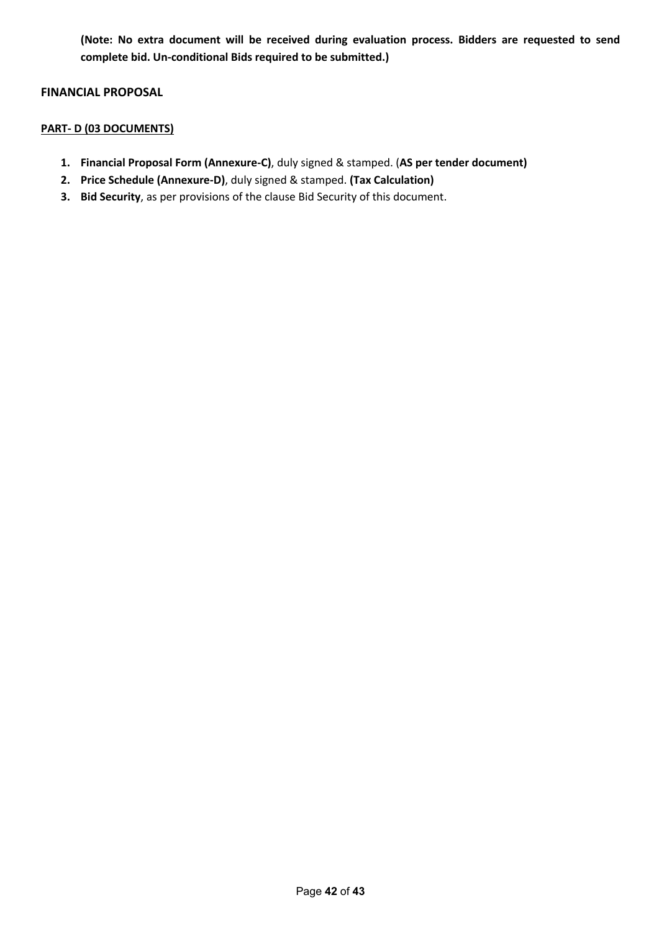**(Note: No extra document will be received during evaluation process. Bidders are requested to send complete bid. Un-conditional Bids required to be submitted.)**

#### **FINANCIAL PROPOSAL**

#### **PART- D (03 DOCUMENTS)**

- **1. Financial Proposal Form (Annexure-C)**, duly signed & stamped. (**AS per tender document)**
- **2. Price Schedule (Annexure-D)**, duly signed & stamped. **(Tax Calculation)**
- **3. Bid Security**, as per provisions of the clause Bid Security of this document.